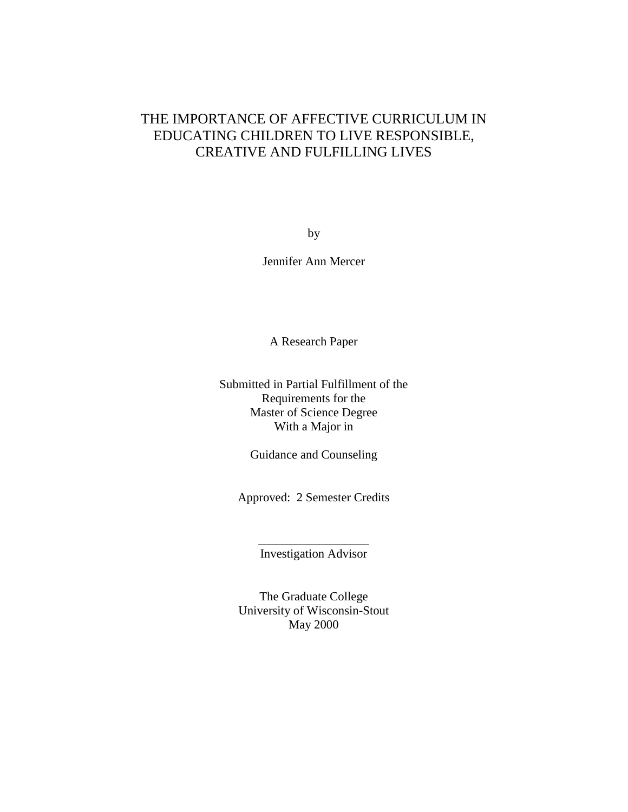## THE IMPORTANCE OF AFFECTIVE CURRICULUM IN EDUCATING CHILDREN TO LIVE RESPONSIBLE, CREATIVE AND FULFILLING LIVES

by

Jennifer Ann Mercer

A Research Paper

Submitted in Partial Fulfillment of the Requirements for the Master of Science Degree With a Major in

Guidance and Counseling

Approved: 2 Semester Credits

\_\_\_\_\_\_\_\_\_\_\_\_\_\_\_\_\_\_ Investigation Advisor

The Graduate College University of Wisconsin-Stout May 2000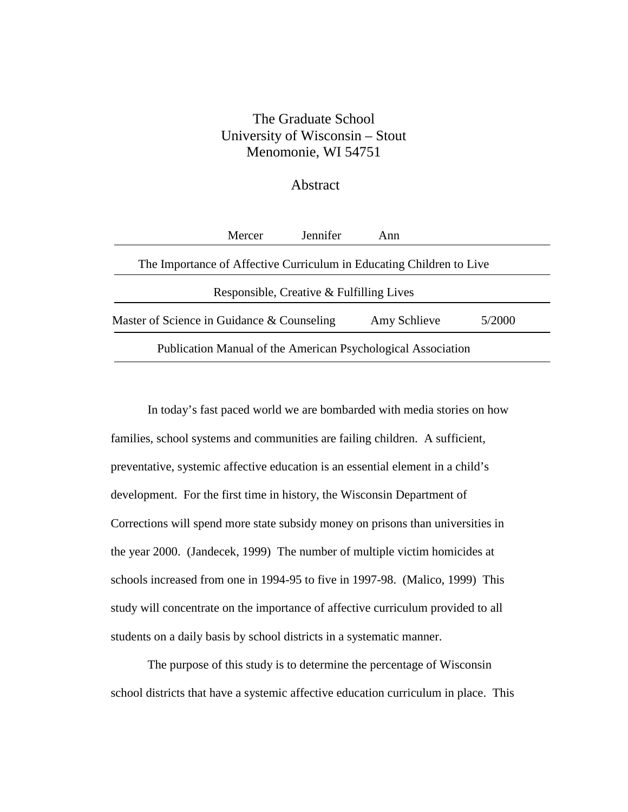### The Graduate School University of Wisconsin – Stout Menomonie, WI 54751

#### Abstract

|                                                              | Mercer | Jennifer | Ann                                                                  |        |
|--------------------------------------------------------------|--------|----------|----------------------------------------------------------------------|--------|
|                                                              |        |          | The Importance of Affective Curriculum in Educating Children to Live |        |
| Responsible, Creative & Fulfilling Lives                     |        |          |                                                                      |        |
| Master of Science in Guidance & Counseling                   |        |          | Amy Schlieve                                                         | 5/2000 |
| Publication Manual of the American Psychological Association |        |          |                                                                      |        |

In today's fast paced world we are bombarded with media stories on how families, school systems and communities are failing children. A sufficient, preventative, systemic affective education is an essential element in a child's development. For the first time in history, the Wisconsin Department of Corrections will spend more state subsidy money on prisons than universities in the year 2000. (Jandecek, 1999) The number of multiple victim homicides at schools increased from one in 1994-95 to five in 1997-98. (Malico, 1999) This study will concentrate on the importance of affective curriculum provided to all students on a daily basis by school districts in a systematic manner.

The purpose of this study is to determine the percentage of Wisconsin school districts that have a systemic affective education curriculum in place. This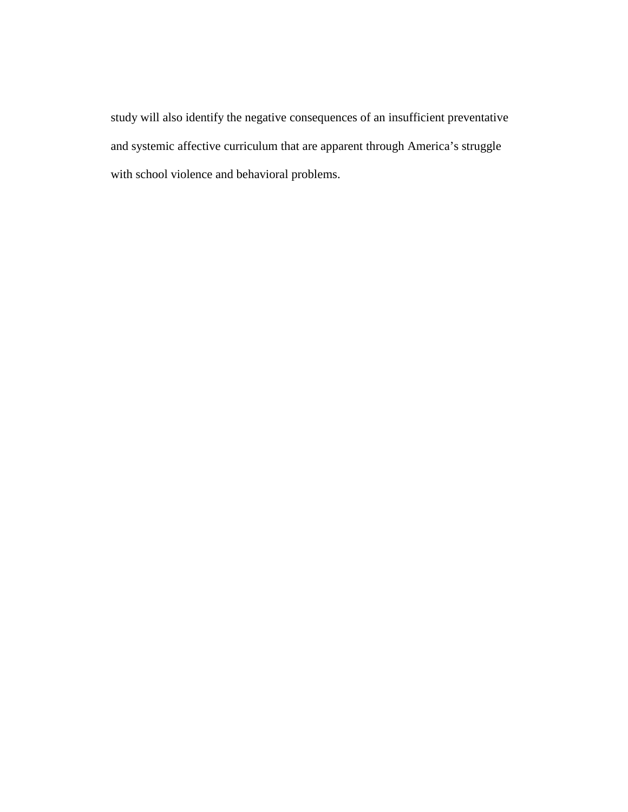study will also identify the negative consequences of an insufficient preventative and systemic affective curriculum that are apparent through America's struggle with school violence and behavioral problems.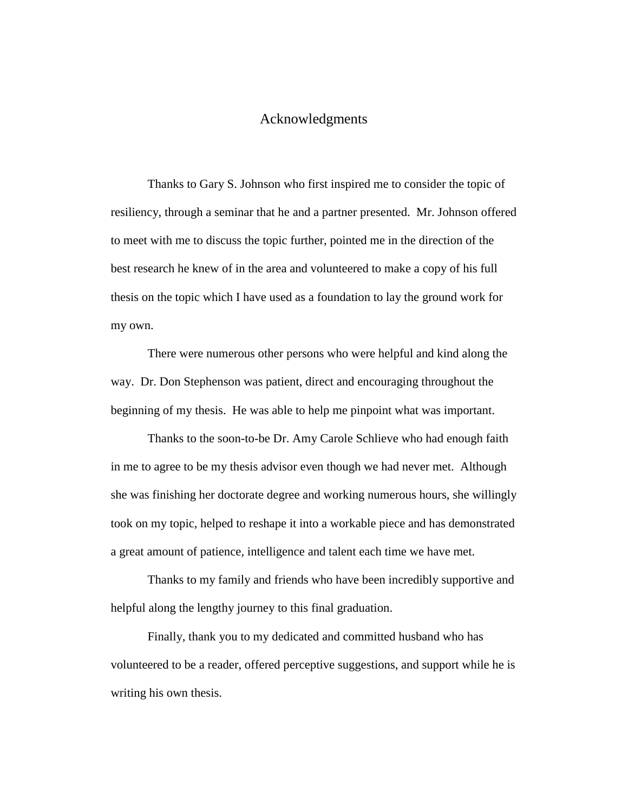#### Acknowledgments

Thanks to Gary S. Johnson who first inspired me to consider the topic of resiliency, through a seminar that he and a partner presented. Mr. Johnson offered to meet with me to discuss the topic further, pointed me in the direction of the best research he knew of in the area and volunteered to make a copy of his full thesis on the topic which I have used as a foundation to lay the ground work for my own.

There were numerous other persons who were helpful and kind along the way. Dr. Don Stephenson was patient, direct and encouraging throughout the beginning of my thesis. He was able to help me pinpoint what was important.

Thanks to the soon-to-be Dr. Amy Carole Schlieve who had enough faith in me to agree to be my thesis advisor even though we had never met. Although she was finishing her doctorate degree and working numerous hours, she willingly took on my topic, helped to reshape it into a workable piece and has demonstrated a great amount of patience, intelligence and talent each time we have met.

Thanks to my family and friends who have been incredibly supportive and helpful along the lengthy journey to this final graduation.

Finally, thank you to my dedicated and committed husband who has volunteered to be a reader, offered perceptive suggestions, and support while he is writing his own thesis.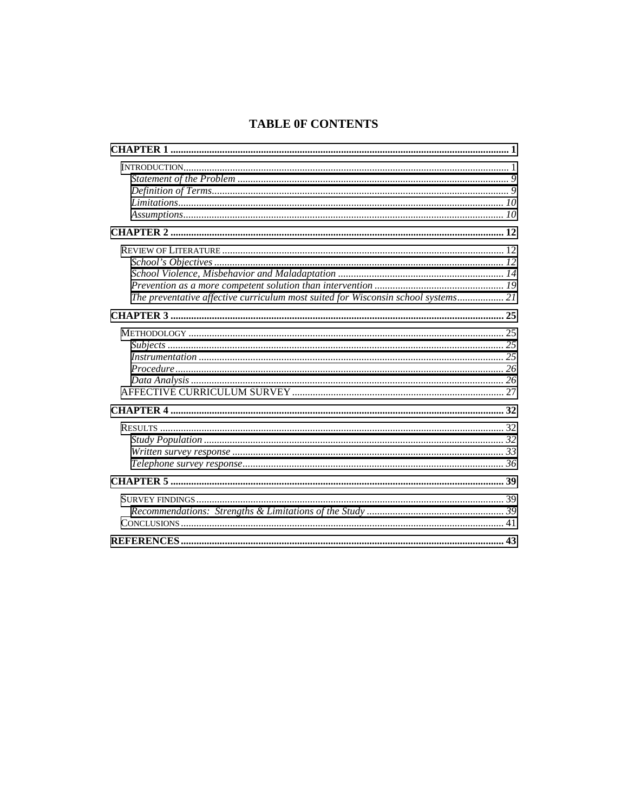### **TABLE OF CONTENTS**

| The preventative affective curriculum most suited for Wisconsin school systems 21 |  |
|-----------------------------------------------------------------------------------|--|
|                                                                                   |  |
|                                                                                   |  |
|                                                                                   |  |
|                                                                                   |  |
|                                                                                   |  |
|                                                                                   |  |
|                                                                                   |  |
|                                                                                   |  |
|                                                                                   |  |
|                                                                                   |  |
|                                                                                   |  |
|                                                                                   |  |
|                                                                                   |  |
|                                                                                   |  |
|                                                                                   |  |
|                                                                                   |  |
|                                                                                   |  |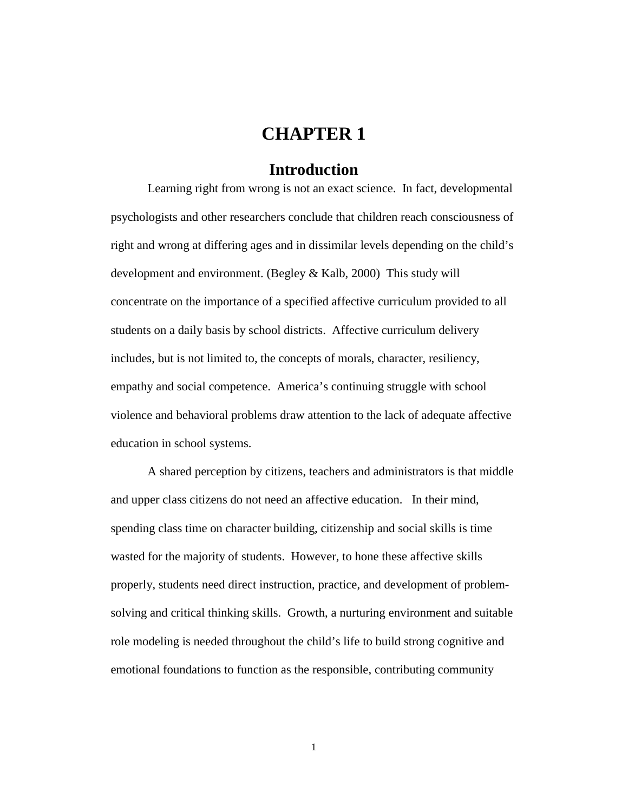# **CHAPTER 1**

### **Introduction**

<span id="page-5-0"></span>Learning right from wrong is not an exact science. In fact, developmental psychologists and other researchers conclude that children reach consciousness of right and wrong at differing ages and in dissimilar levels depending on the child's development and environment. (Begley & Kalb, 2000) This study will concentrate on the importance of a specified affective curriculum provided to all students on a daily basis by school districts. Affective curriculum delivery includes, but is not limited to, the concepts of morals, character, resiliency, empathy and social competence. America's continuing struggle with school violence and behavioral problems draw attention to the lack of adequate affective education in school systems.

A shared perception by citizens, teachers and administrators is that middle and upper class citizens do not need an affective education. In their mind, spending class time on character building, citizenship and social skills is time wasted for the majority of students. However, to hone these affective skills properly, students need direct instruction, practice, and development of problemsolving and critical thinking skills. Growth, a nurturing environment and suitable role modeling is needed throughout the child's life to build strong cognitive and emotional foundations to function as the responsible, contributing community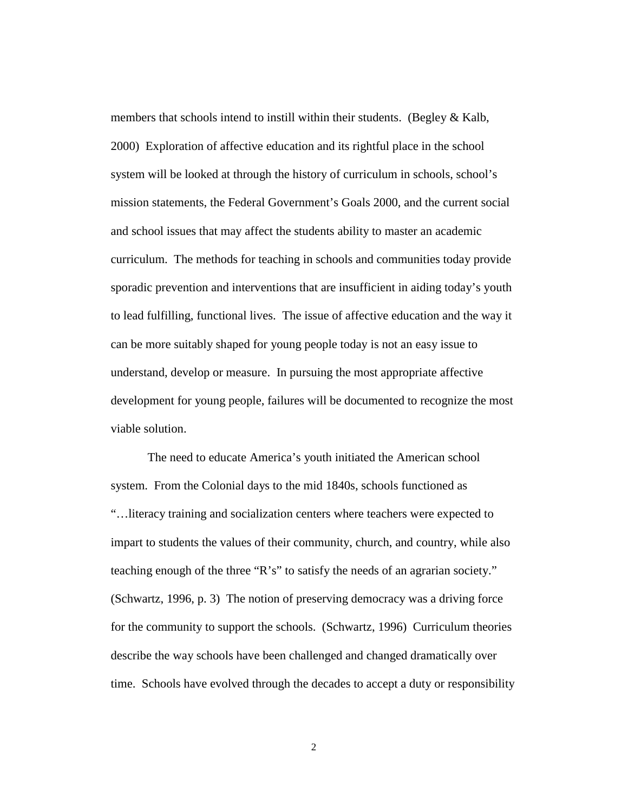members that schools intend to instill within their students. (Begley & Kalb, 2000) Exploration of affective education and its rightful place in the school system will be looked at through the history of curriculum in schools, school's mission statements, the Federal Government's Goals 2000, and the current social and school issues that may affect the students ability to master an academic curriculum. The methods for teaching in schools and communities today provide sporadic prevention and interventions that are insufficient in aiding today's youth to lead fulfilling, functional lives. The issue of affective education and the way it can be more suitably shaped for young people today is not an easy issue to understand, develop or measure. In pursuing the most appropriate affective development for young people, failures will be documented to recognize the most viable solution.

The need to educate America's youth initiated the American school system. From the Colonial days to the mid 1840s, schools functioned as "…literacy training and socialization centers where teachers were expected to impart to students the values of their community, church, and country, while also teaching enough of the three "R's" to satisfy the needs of an agrarian society." (Schwartz, 1996, p. 3) The notion of preserving democracy was a driving force for the community to support the schools. (Schwartz, 1996) Curriculum theories describe the way schools have been challenged and changed dramatically over time. Schools have evolved through the decades to accept a duty or responsibility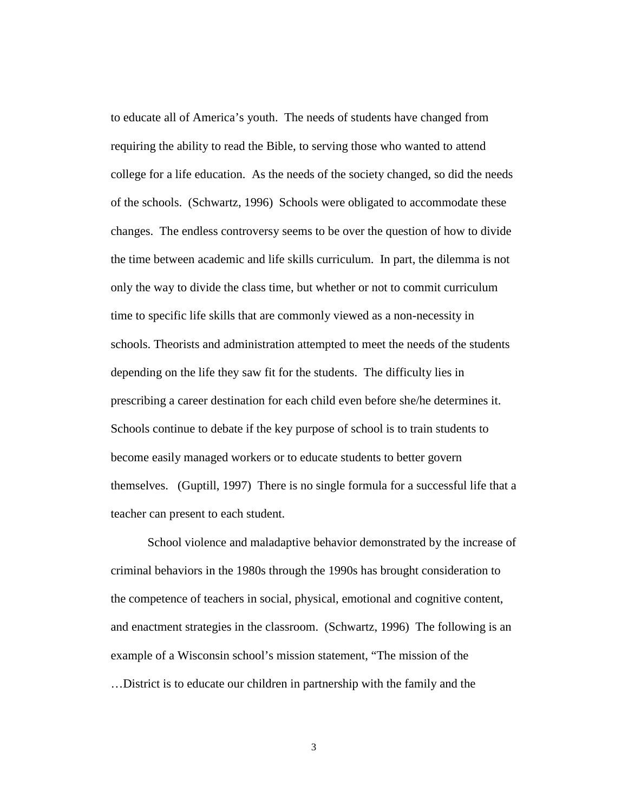to educate all of America's youth. The needs of students have changed from requiring the ability to read the Bible, to serving those who wanted to attend college for a life education. As the needs of the society changed, so did the needs of the schools. (Schwartz, 1996) Schools were obligated to accommodate these changes. The endless controversy seems to be over the question of how to divide the time between academic and life skills curriculum. In part, the dilemma is not only the way to divide the class time, but whether or not to commit curriculum time to specific life skills that are commonly viewed as a non-necessity in schools. Theorists and administration attempted to meet the needs of the students depending on the life they saw fit for the students. The difficulty lies in prescribing a career destination for each child even before she/he determines it. Schools continue to debate if the key purpose of school is to train students to become easily managed workers or to educate students to better govern themselves. (Guptill, 1997) There is no single formula for a successful life that a teacher can present to each student.

School violence and maladaptive behavior demonstrated by the increase of criminal behaviors in the 1980s through the 1990s has brought consideration to the competence of teachers in social, physical, emotional and cognitive content, and enactment strategies in the classroom. (Schwartz, 1996) The following is an example of a Wisconsin school's mission statement, "The mission of the …District is to educate our children in partnership with the family and the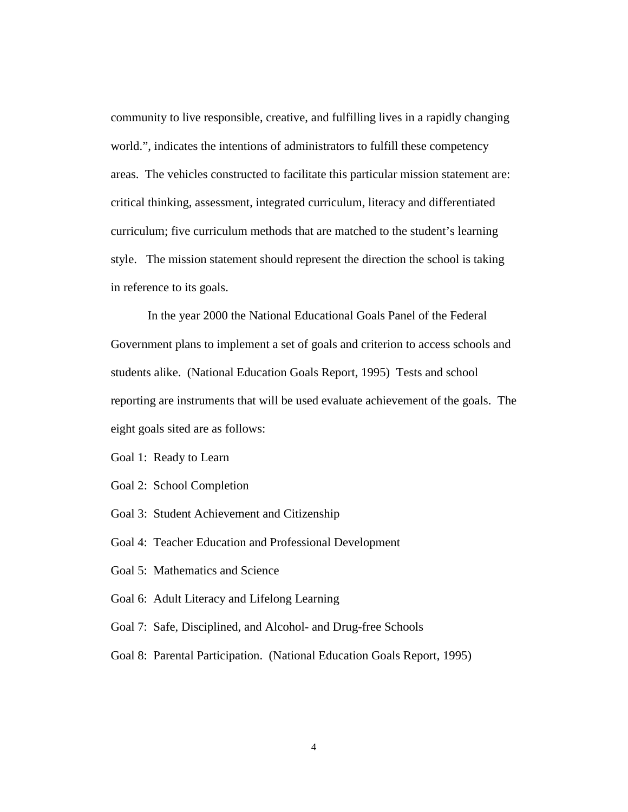community to live responsible, creative, and fulfilling lives in a rapidly changing world.", indicates the intentions of administrators to fulfill these competency areas. The vehicles constructed to facilitate this particular mission statement are: critical thinking, assessment, integrated curriculum, literacy and differentiated curriculum; five curriculum methods that are matched to the student's learning style. The mission statement should represent the direction the school is taking in reference to its goals.

In the year 2000 the National Educational Goals Panel of the Federal Government plans to implement a set of goals and criterion to access schools and students alike. (National Education Goals Report, 1995) Tests and school reporting are instruments that will be used evaluate achievement of the goals. The eight goals sited are as follows:

Goal 1: Ready to Learn

Goal 2: School Completion

Goal 3: Student Achievement and Citizenship

Goal 4: Teacher Education and Professional Development

Goal 5: Mathematics and Science

Goal 6: Adult Literacy and Lifelong Learning

Goal 7: Safe, Disciplined, and Alcohol- and Drug-free Schools

Goal 8: Parental Participation. (National Education Goals Report, 1995)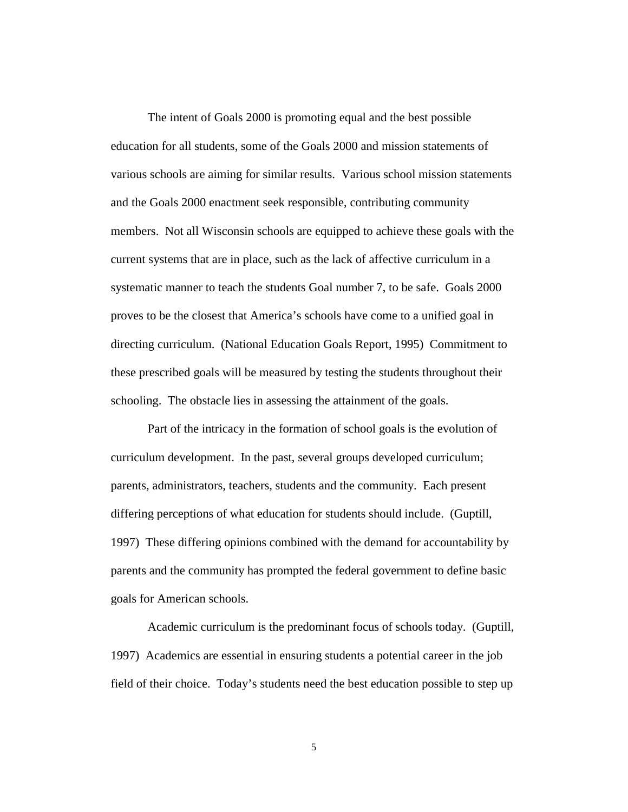The intent of Goals 2000 is promoting equal and the best possible education for all students, some of the Goals 2000 and mission statements of various schools are aiming for similar results. Various school mission statements and the Goals 2000 enactment seek responsible, contributing community members. Not all Wisconsin schools are equipped to achieve these goals with the current systems that are in place, such as the lack of affective curriculum in a systematic manner to teach the students Goal number 7, to be safe. Goals 2000 proves to be the closest that America's schools have come to a unified goal in directing curriculum. (National Education Goals Report, 1995) Commitment to these prescribed goals will be measured by testing the students throughout their schooling. The obstacle lies in assessing the attainment of the goals.

Part of the intricacy in the formation of school goals is the evolution of curriculum development. In the past, several groups developed curriculum; parents, administrators, teachers, students and the community. Each present differing perceptions of what education for students should include. (Guptill, 1997) These differing opinions combined with the demand for accountability by parents and the community has prompted the federal government to define basic goals for American schools.

Academic curriculum is the predominant focus of schools today. (Guptill, 1997) Academics are essential in ensuring students a potential career in the job field of their choice. Today's students need the best education possible to step up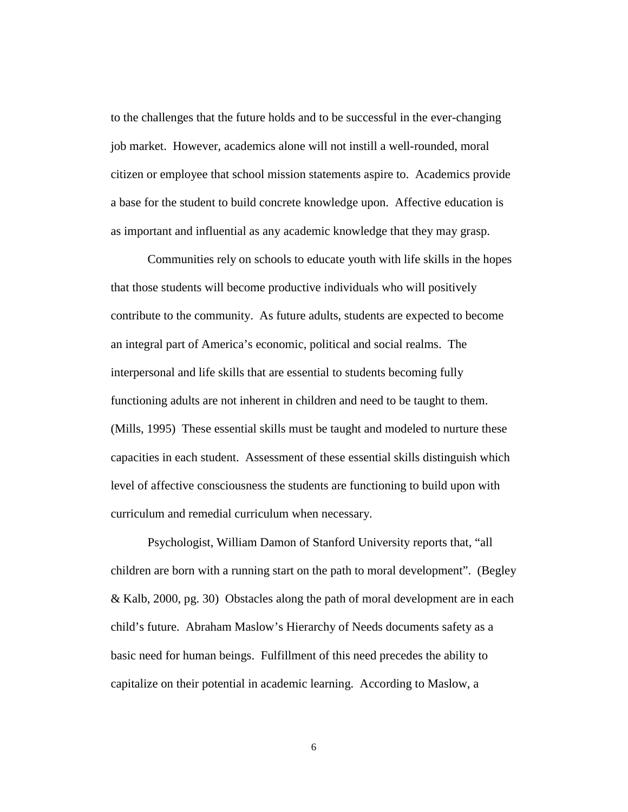to the challenges that the future holds and to be successful in the ever-changing job market. However, academics alone will not instill a well-rounded, moral citizen or employee that school mission statements aspire to. Academics provide a base for the student to build concrete knowledge upon. Affective education is as important and influential as any academic knowledge that they may grasp.

Communities rely on schools to educate youth with life skills in the hopes that those students will become productive individuals who will positively contribute to the community. As future adults, students are expected to become an integral part of America's economic, political and social realms. The interpersonal and life skills that are essential to students becoming fully functioning adults are not inherent in children and need to be taught to them. (Mills, 1995) These essential skills must be taught and modeled to nurture these capacities in each student. Assessment of these essential skills distinguish which level of affective consciousness the students are functioning to build upon with curriculum and remedial curriculum when necessary.

Psychologist, William Damon of Stanford University reports that, "all children are born with a running start on the path to moral development". (Begley & Kalb, 2000, pg. 30) Obstacles along the path of moral development are in each child's future. Abraham Maslow's Hierarchy of Needs documents safety as a basic need for human beings. Fulfillment of this need precedes the ability to capitalize on their potential in academic learning. According to Maslow, a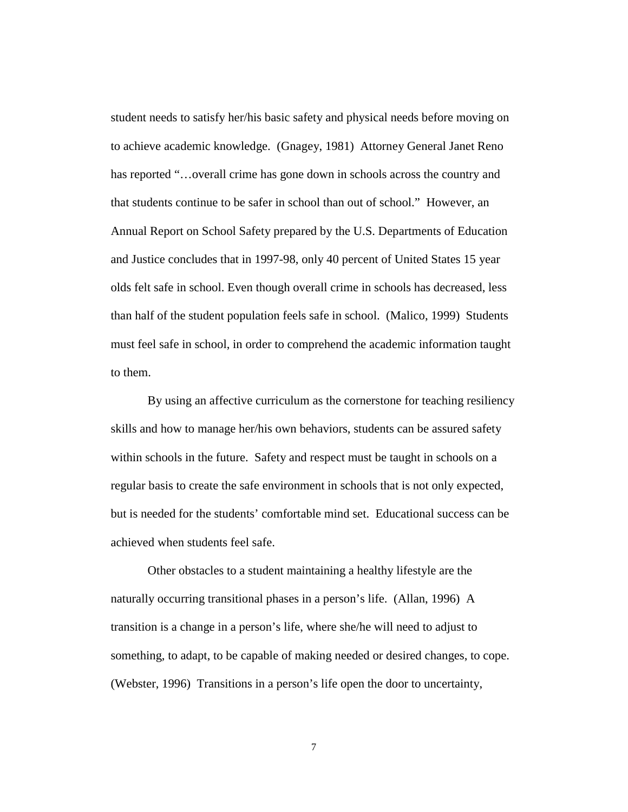student needs to satisfy her/his basic safety and physical needs before moving on to achieve academic knowledge. (Gnagey, 1981) Attorney General Janet Reno has reported "...overall crime has gone down in schools across the country and that students continue to be safer in school than out of school." However, an Annual Report on School Safety prepared by the U.S. Departments of Education and Justice concludes that in 1997-98, only 40 percent of United States 15 year olds felt safe in school. Even though overall crime in schools has decreased, less than half of the student population feels safe in school. (Malico, 1999) Students must feel safe in school, in order to comprehend the academic information taught to them.

By using an affective curriculum as the cornerstone for teaching resiliency skills and how to manage her/his own behaviors, students can be assured safety within schools in the future. Safety and respect must be taught in schools on a regular basis to create the safe environment in schools that is not only expected, but is needed for the students' comfortable mind set. Educational success can be achieved when students feel safe.

Other obstacles to a student maintaining a healthy lifestyle are the naturally occurring transitional phases in a person's life. (Allan, 1996) A transition is a change in a person's life, where she/he will need to adjust to something, to adapt, to be capable of making needed or desired changes, to cope. (Webster, 1996) Transitions in a person's life open the door to uncertainty,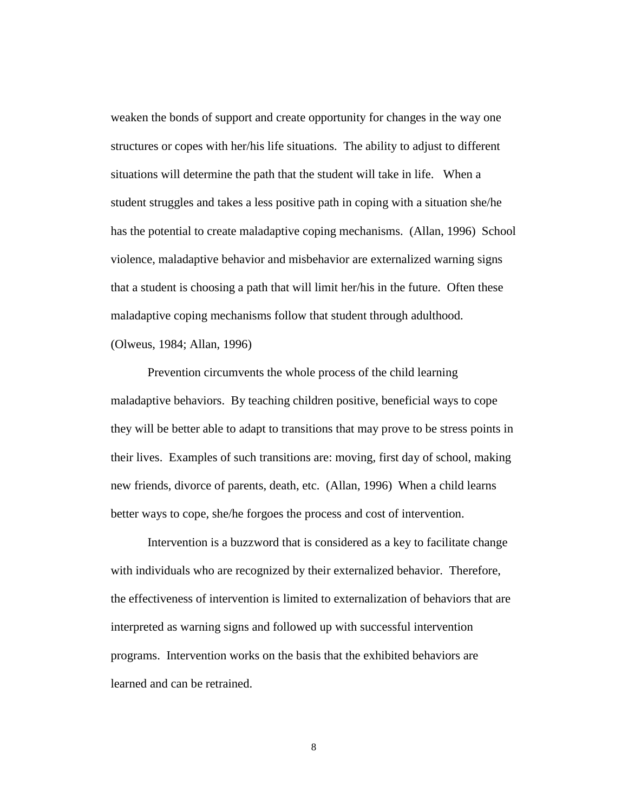weaken the bonds of support and create opportunity for changes in the way one structures or copes with her/his life situations. The ability to adjust to different situations will determine the path that the student will take in life. When a student struggles and takes a less positive path in coping with a situation she/he has the potential to create maladaptive coping mechanisms. (Allan, 1996) School violence, maladaptive behavior and misbehavior are externalized warning signs that a student is choosing a path that will limit her/his in the future. Often these maladaptive coping mechanisms follow that student through adulthood.

(Olweus, 1984; Allan, 1996)

Prevention circumvents the whole process of the child learning maladaptive behaviors. By teaching children positive, beneficial ways to cope they will be better able to adapt to transitions that may prove to be stress points in their lives. Examples of such transitions are: moving, first day of school, making new friends, divorce of parents, death, etc. (Allan, 1996) When a child learns better ways to cope, she/he forgoes the process and cost of intervention.

Intervention is a buzzword that is considered as a key to facilitate change with individuals who are recognized by their externalized behavior. Therefore, the effectiveness of intervention is limited to externalization of behaviors that are interpreted as warning signs and followed up with successful intervention programs. Intervention works on the basis that the exhibited behaviors are learned and can be retrained.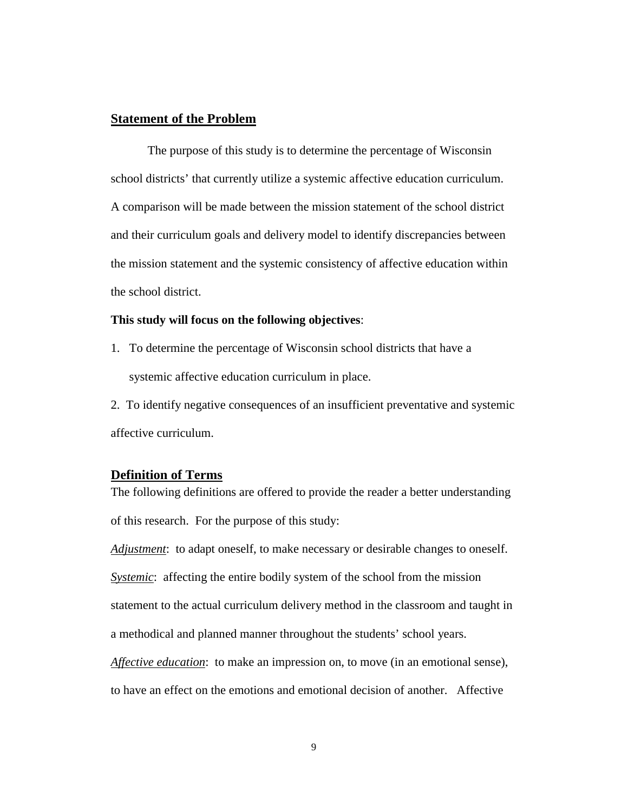#### <span id="page-13-0"></span>**Statement of the Problem**

The purpose of this study is to determine the percentage of Wisconsin school districts' that currently utilize a systemic affective education curriculum. A comparison will be made between the mission statement of the school district and their curriculum goals and delivery model to identify discrepancies between the mission statement and the systemic consistency of affective education within the school district.

#### **This study will focus on the following objectives**:

- 1. To determine the percentage of Wisconsin school districts that have a systemic affective education curriculum in place.
- 2. To identify negative consequences of an insufficient preventative and systemic affective curriculum.

#### **Definition of Terms**

The following definitions are offered to provide the reader a better understanding of this research. For the purpose of this study:

*Adjustment*: to adapt oneself, to make necessary or desirable changes to oneself.

*Systemic*: affecting the entire bodily system of the school from the mission

statement to the actual curriculum delivery method in the classroom and taught in

a methodical and planned manner throughout the students' school years.

*Affective education*: to make an impression on, to move (in an emotional sense),

to have an effect on the emotions and emotional decision of another. Affective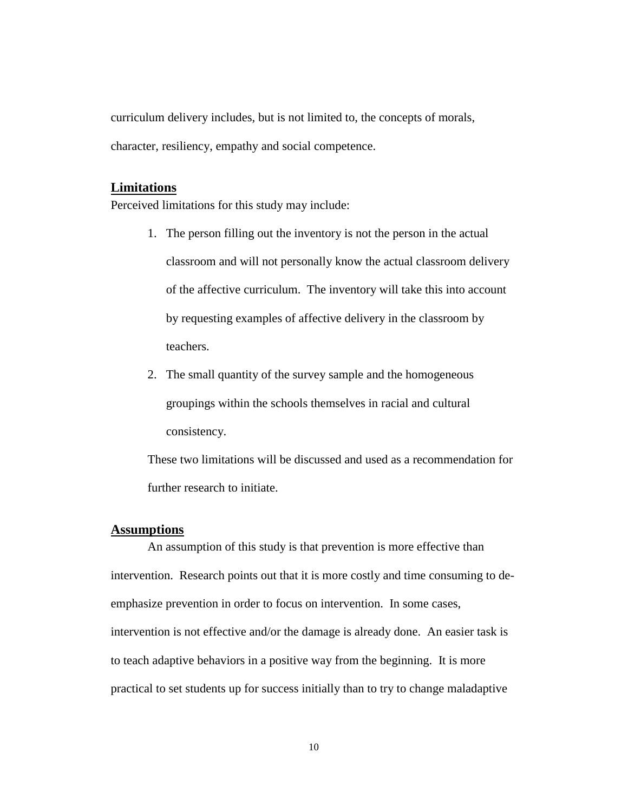<span id="page-14-0"></span>curriculum delivery includes, but is not limited to, the concepts of morals, character, resiliency, empathy and social competence.

#### **Limitations**

Perceived limitations for this study may include:

- 1. The person filling out the inventory is not the person in the actual classroom and will not personally know the actual classroom delivery of the affective curriculum. The inventory will take this into account by requesting examples of affective delivery in the classroom by teachers.
- 2. The small quantity of the survey sample and the homogeneous groupings within the schools themselves in racial and cultural consistency.

These two limitations will be discussed and used as a recommendation for further research to initiate.

#### **Assumptions**

An assumption of this study is that prevention is more effective than intervention. Research points out that it is more costly and time consuming to deemphasize prevention in order to focus on intervention. In some cases, intervention is not effective and/or the damage is already done. An easier task is to teach adaptive behaviors in a positive way from the beginning. It is more practical to set students up for success initially than to try to change maladaptive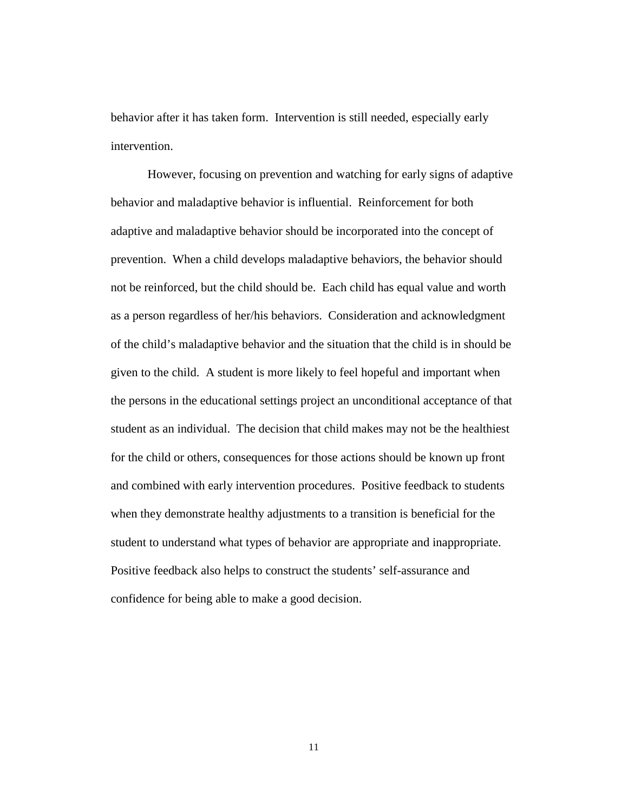behavior after it has taken form. Intervention is still needed, especially early intervention.

However, focusing on prevention and watching for early signs of adaptive behavior and maladaptive behavior is influential. Reinforcement for both adaptive and maladaptive behavior should be incorporated into the concept of prevention. When a child develops maladaptive behaviors, the behavior should not be reinforced, but the child should be. Each child has equal value and worth as a person regardless of her/his behaviors. Consideration and acknowledgment of the child's maladaptive behavior and the situation that the child is in should be given to the child. A student is more likely to feel hopeful and important when the persons in the educational settings project an unconditional acceptance of that student as an individual. The decision that child makes may not be the healthiest for the child or others, consequences for those actions should be known up front and combined with early intervention procedures. Positive feedback to students when they demonstrate healthy adjustments to a transition is beneficial for the student to understand what types of behavior are appropriate and inappropriate. Positive feedback also helps to construct the students' self-assurance and confidence for being able to make a good decision.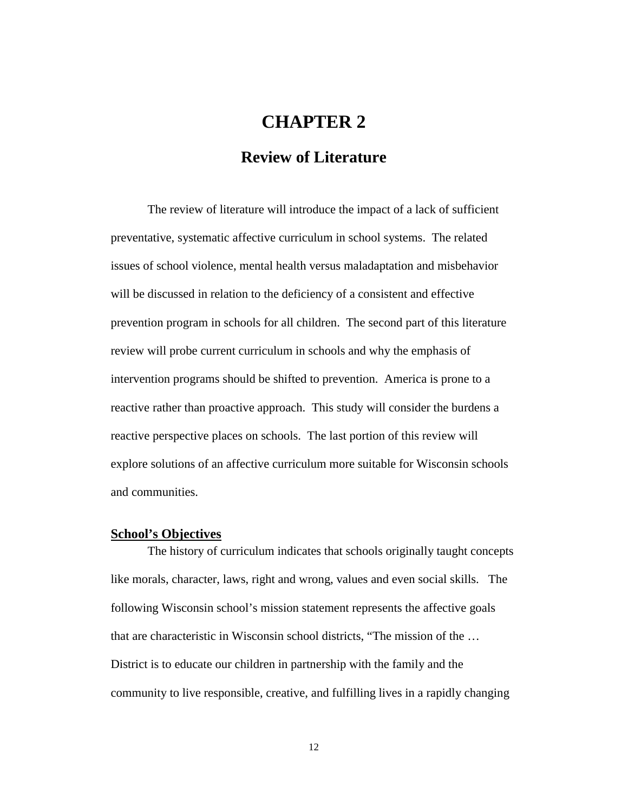# **CHAPTER 2**

## **Review of Literature**

<span id="page-16-0"></span>The review of literature will introduce the impact of a lack of sufficient preventative, systematic affective curriculum in school systems. The related issues of school violence, mental health versus maladaptation and misbehavior will be discussed in relation to the deficiency of a consistent and effective prevention program in schools for all children. The second part of this literature review will probe current curriculum in schools and why the emphasis of intervention programs should be shifted to prevention. America is prone to a reactive rather than proactive approach. This study will consider the burdens a reactive perspective places on schools. The last portion of this review will explore solutions of an affective curriculum more suitable for Wisconsin schools and communities.

#### **School's Objectives**

The history of curriculum indicates that schools originally taught concepts like morals, character, laws, right and wrong, values and even social skills. The following Wisconsin school's mission statement represents the affective goals that are characteristic in Wisconsin school districts, "The mission of the … District is to educate our children in partnership with the family and the community to live responsible, creative, and fulfilling lives in a rapidly changing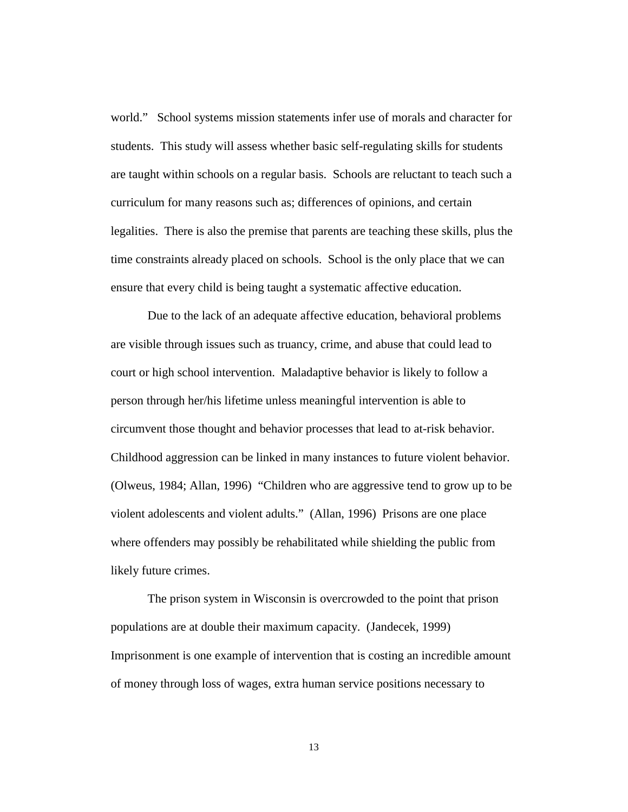world." School systems mission statements infer use of morals and character for students. This study will assess whether basic self-regulating skills for students are taught within schools on a regular basis. Schools are reluctant to teach such a curriculum for many reasons such as; differences of opinions, and certain legalities. There is also the premise that parents are teaching these skills, plus the time constraints already placed on schools. School is the only place that we can ensure that every child is being taught a systematic affective education.

Due to the lack of an adequate affective education, behavioral problems are visible through issues such as truancy, crime, and abuse that could lead to court or high school intervention. Maladaptive behavior is likely to follow a person through her/his lifetime unless meaningful intervention is able to circumvent those thought and behavior processes that lead to at-risk behavior. Childhood aggression can be linked in many instances to future violent behavior. (Olweus, 1984; Allan, 1996) "Children who are aggressive tend to grow up to be violent adolescents and violent adults." (Allan, 1996) Prisons are one place where offenders may possibly be rehabilitated while shielding the public from likely future crimes.

The prison system in Wisconsin is overcrowded to the point that prison populations are at double their maximum capacity. (Jandecek, 1999) Imprisonment is one example of intervention that is costing an incredible amount of money through loss of wages, extra human service positions necessary to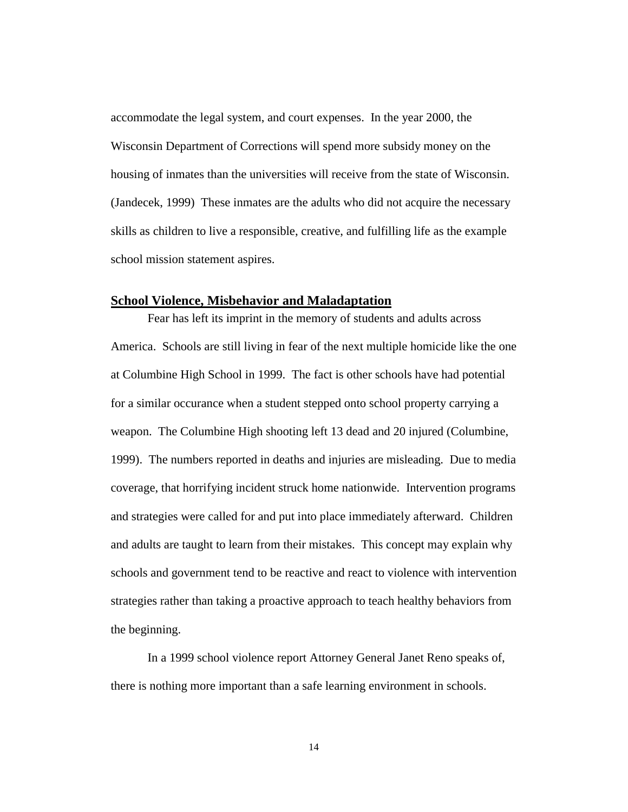<span id="page-18-0"></span>accommodate the legal system, and court expenses. In the year 2000, the Wisconsin Department of Corrections will spend more subsidy money on the housing of inmates than the universities will receive from the state of Wisconsin. (Jandecek, 1999) These inmates are the adults who did not acquire the necessary skills as children to live a responsible, creative, and fulfilling life as the example school mission statement aspires.

#### **School Violence, Misbehavior and Maladaptation**

Fear has left its imprint in the memory of students and adults across America. Schools are still living in fear of the next multiple homicide like the one at Columbine High School in 1999. The fact is other schools have had potential for a similar occurance when a student stepped onto school property carrying a weapon. The Columbine High shooting left 13 dead and 20 injured (Columbine, 1999). The numbers reported in deaths and injuries are misleading. Due to media coverage, that horrifying incident struck home nationwide. Intervention programs and strategies were called for and put into place immediately afterward. Children and adults are taught to learn from their mistakes. This concept may explain why schools and government tend to be reactive and react to violence with intervention strategies rather than taking a proactive approach to teach healthy behaviors from the beginning.

In a 1999 school violence report Attorney General Janet Reno speaks of, there is nothing more important than a safe learning environment in schools.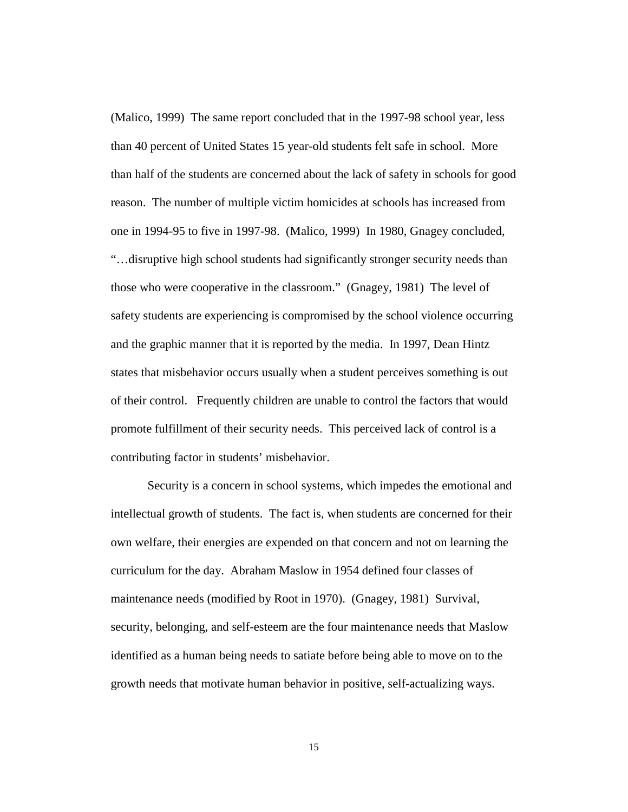(Malico, 1999) The same report concluded that in the 1997-98 school year, less than 40 percent of United States 15 year-old students felt safe in school. More than half of the students are concerned about the lack of safety in schools for good reason. The number of multiple victim homicides at schools has increased from one in 1994-95 to five in 1997-98. (Malico, 1999) In 1980, Gnagey concluded, "…disruptive high school students had significantly stronger security needs than those who were cooperative in the classroom." (Gnagey, 1981) The level of safety students are experiencing is compromised by the school violence occurring and the graphic manner that it is reported by the media. In 1997, Dean Hintz states that misbehavior occurs usually when a student perceives something is out of their control. Frequently children are unable to control the factors that would promote fulfillment of their security needs. This perceived lack of control is a contributing factor in students' misbehavior.

Security is a concern in school systems, which impedes the emotional and intellectual growth of students. The fact is, when students are concerned for their own welfare, their energies are expended on that concern and not on learning the curriculum for the day. Abraham Maslow in 1954 defined four classes of maintenance needs (modified by Root in 1970). (Gnagey, 1981) Survival, security, belonging, and self-esteem are the four maintenance needs that Maslow identified as a human being needs to satiate before being able to move on to the growth needs that motivate human behavior in positive, self-actualizing ways.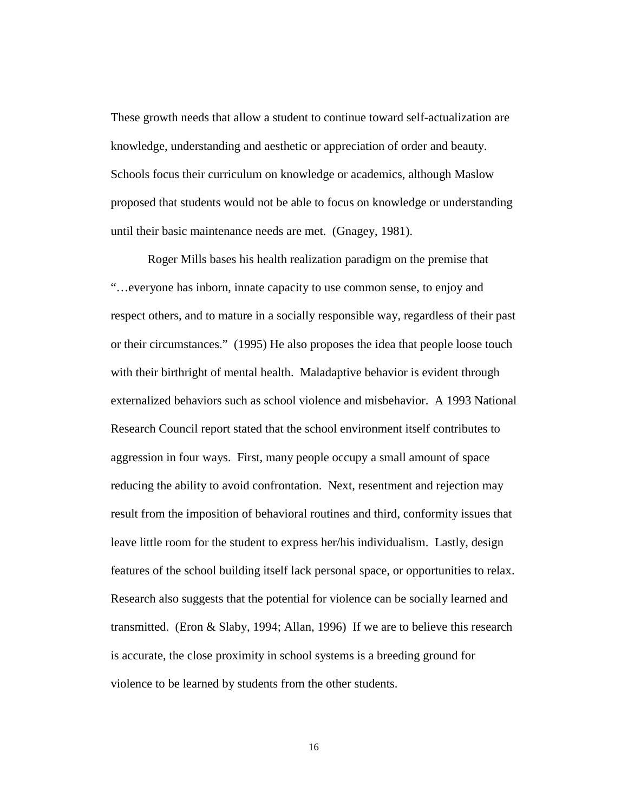These growth needs that allow a student to continue toward self-actualization are knowledge, understanding and aesthetic or appreciation of order and beauty. Schools focus their curriculum on knowledge or academics, although Maslow proposed that students would not be able to focus on knowledge or understanding until their basic maintenance needs are met. (Gnagey, 1981).

Roger Mills bases his health realization paradigm on the premise that "…everyone has inborn, innate capacity to use common sense, to enjoy and respect others, and to mature in a socially responsible way, regardless of their past or their circumstances." (1995) He also proposes the idea that people loose touch with their birthright of mental health. Maladaptive behavior is evident through externalized behaviors such as school violence and misbehavior. A 1993 National Research Council report stated that the school environment itself contributes to aggression in four ways. First, many people occupy a small amount of space reducing the ability to avoid confrontation. Next, resentment and rejection may result from the imposition of behavioral routines and third, conformity issues that leave little room for the student to express her/his individualism. Lastly, design features of the school building itself lack personal space, or opportunities to relax. Research also suggests that the potential for violence can be socially learned and transmitted. (Eron & Slaby, 1994; Allan, 1996) If we are to believe this research is accurate, the close proximity in school systems is a breeding ground for violence to be learned by students from the other students.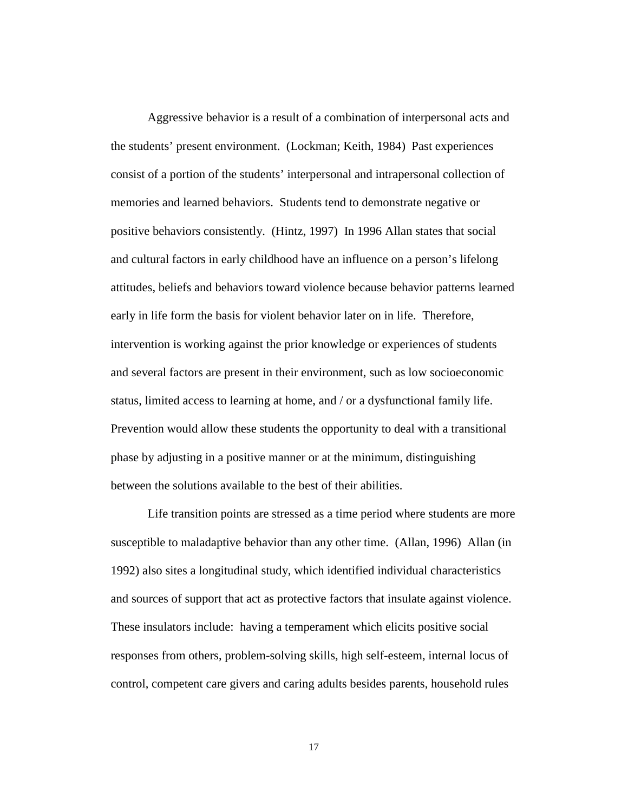Aggressive behavior is a result of a combination of interpersonal acts and the students' present environment. (Lockman; Keith, 1984) Past experiences consist of a portion of the students' interpersonal and intrapersonal collection of memories and learned behaviors. Students tend to demonstrate negative or positive behaviors consistently. (Hintz, 1997) In 1996 Allan states that social and cultural factors in early childhood have an influence on a person's lifelong attitudes, beliefs and behaviors toward violence because behavior patterns learned early in life form the basis for violent behavior later on in life. Therefore, intervention is working against the prior knowledge or experiences of students and several factors are present in their environment, such as low socioeconomic status, limited access to learning at home, and / or a dysfunctional family life. Prevention would allow these students the opportunity to deal with a transitional phase by adjusting in a positive manner or at the minimum, distinguishing between the solutions available to the best of their abilities.

Life transition points are stressed as a time period where students are more susceptible to maladaptive behavior than any other time. (Allan, 1996) Allan (in 1992) also sites a longitudinal study, which identified individual characteristics and sources of support that act as protective factors that insulate against violence. These insulators include: having a temperament which elicits positive social responses from others, problem-solving skills, high self-esteem, internal locus of control, competent care givers and caring adults besides parents, household rules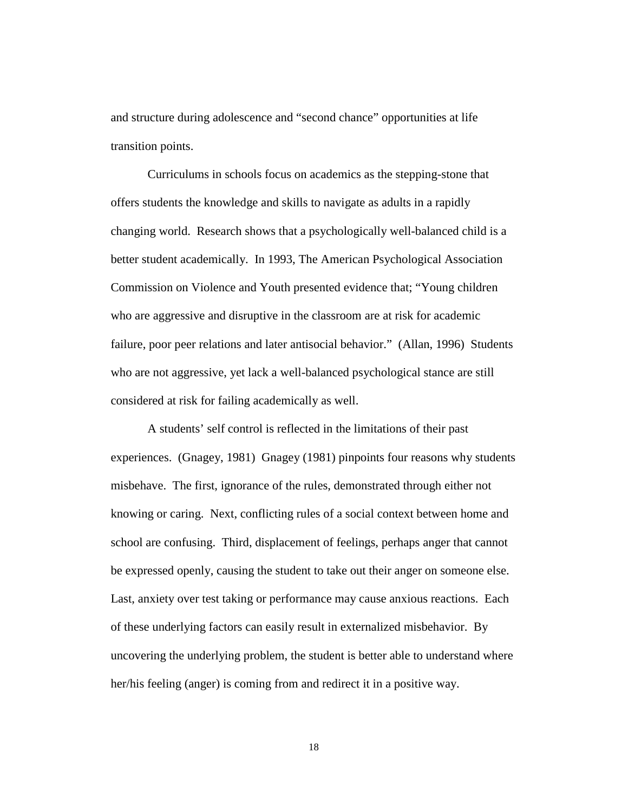and structure during adolescence and "second chance" opportunities at life transition points.

Curriculums in schools focus on academics as the stepping-stone that offers students the knowledge and skills to navigate as adults in a rapidly changing world. Research shows that a psychologically well-balanced child is a better student academically. In 1993, The American Psychological Association Commission on Violence and Youth presented evidence that; "Young children who are aggressive and disruptive in the classroom are at risk for academic failure, poor peer relations and later antisocial behavior." (Allan, 1996) Students who are not aggressive, yet lack a well-balanced psychological stance are still considered at risk for failing academically as well.

A students' self control is reflected in the limitations of their past experiences. (Gnagey, 1981) Gnagey (1981) pinpoints four reasons why students misbehave. The first, ignorance of the rules, demonstrated through either not knowing or caring. Next, conflicting rules of a social context between home and school are confusing. Third, displacement of feelings, perhaps anger that cannot be expressed openly, causing the student to take out their anger on someone else. Last, anxiety over test taking or performance may cause anxious reactions. Each of these underlying factors can easily result in externalized misbehavior. By uncovering the underlying problem, the student is better able to understand where her/his feeling (anger) is coming from and redirect it in a positive way.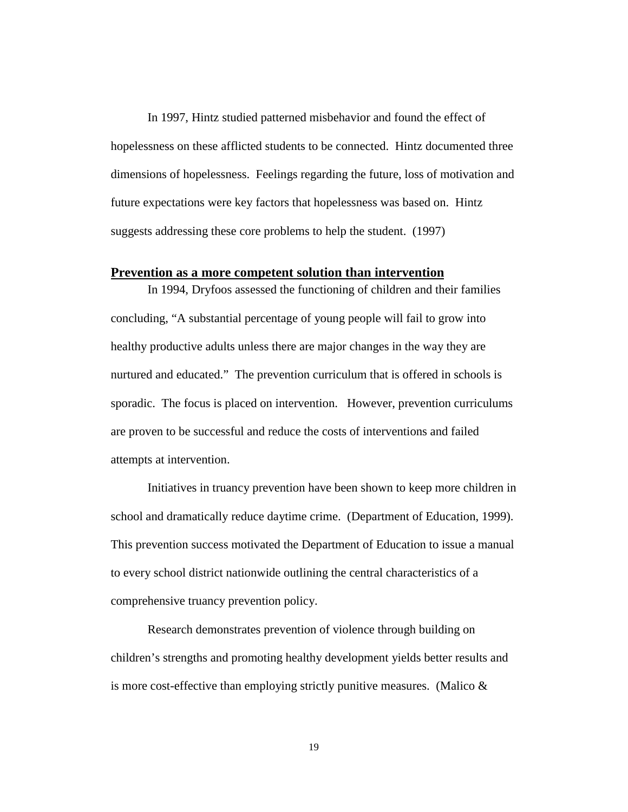<span id="page-23-0"></span>In 1997, Hintz studied patterned misbehavior and found the effect of hopelessness on these afflicted students to be connected. Hintz documented three dimensions of hopelessness. Feelings regarding the future, loss of motivation and future expectations were key factors that hopelessness was based on. Hintz suggests addressing these core problems to help the student. (1997)

#### **Prevention as a more competent solution than intervention**

In 1994, Dryfoos assessed the functioning of children and their families concluding, "A substantial percentage of young people will fail to grow into healthy productive adults unless there are major changes in the way they are nurtured and educated." The prevention curriculum that is offered in schools is sporadic. The focus is placed on intervention. However, prevention curriculums are proven to be successful and reduce the costs of interventions and failed attempts at intervention.

Initiatives in truancy prevention have been shown to keep more children in school and dramatically reduce daytime crime. (Department of Education, 1999). This prevention success motivated the Department of Education to issue a manual to every school district nationwide outlining the central characteristics of a comprehensive truancy prevention policy.

Research demonstrates prevention of violence through building on children's strengths and promoting healthy development yields better results and is more cost-effective than employing strictly punitive measures. (Malico  $\&$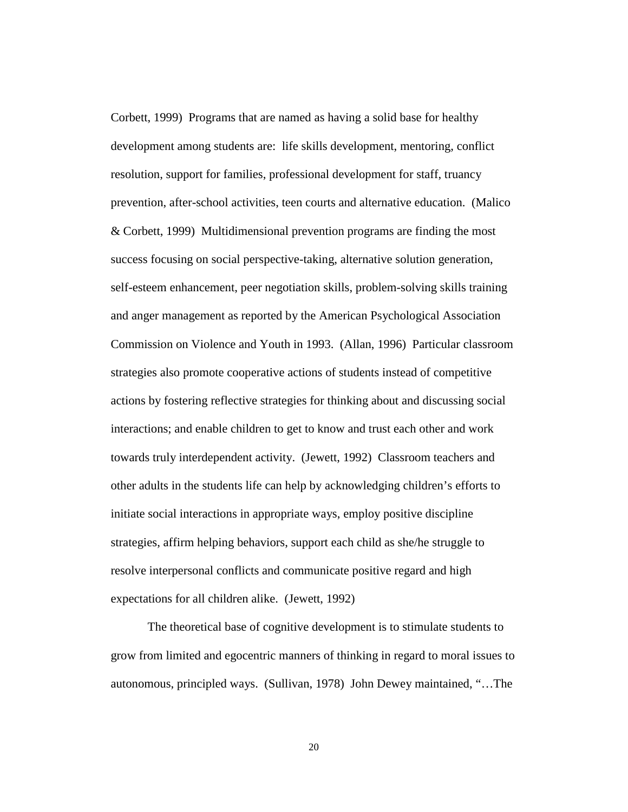Corbett, 1999) Programs that are named as having a solid base for healthy development among students are: life skills development, mentoring, conflict resolution, support for families, professional development for staff, truancy prevention, after-school activities, teen courts and alternative education. (Malico & Corbett, 1999) Multidimensional prevention programs are finding the most success focusing on social perspective-taking, alternative solution generation, self-esteem enhancement, peer negotiation skills, problem-solving skills training and anger management as reported by the American Psychological Association Commission on Violence and Youth in 1993. (Allan, 1996) Particular classroom strategies also promote cooperative actions of students instead of competitive actions by fostering reflective strategies for thinking about and discussing social interactions; and enable children to get to know and trust each other and work towards truly interdependent activity. (Jewett, 1992) Classroom teachers and other adults in the students life can help by acknowledging children's efforts to initiate social interactions in appropriate ways, employ positive discipline strategies, affirm helping behaviors, support each child as she/he struggle to resolve interpersonal conflicts and communicate positive regard and high expectations for all children alike. (Jewett, 1992)

The theoretical base of cognitive development is to stimulate students to grow from limited and egocentric manners of thinking in regard to moral issues to autonomous, principled ways. (Sullivan, 1978) John Dewey maintained, "…The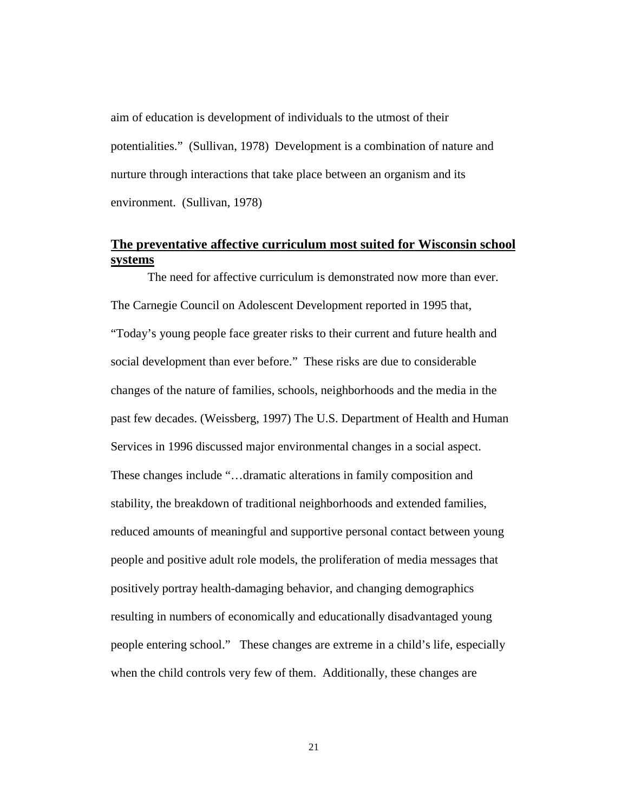<span id="page-25-0"></span>aim of education is development of individuals to the utmost of their potentialities." (Sullivan, 1978) Development is a combination of nature and nurture through interactions that take place between an organism and its environment. (Sullivan, 1978)

### **The preventative affective curriculum most suited for Wisconsin school systems**

The need for affective curriculum is demonstrated now more than ever. The Carnegie Council on Adolescent Development reported in 1995 that, "Today's young people face greater risks to their current and future health and social development than ever before." These risks are due to considerable changes of the nature of families, schools, neighborhoods and the media in the past few decades. (Weissberg, 1997) The U.S. Department of Health and Human Services in 1996 discussed major environmental changes in a social aspect. These changes include "…dramatic alterations in family composition and stability, the breakdown of traditional neighborhoods and extended families, reduced amounts of meaningful and supportive personal contact between young people and positive adult role models, the proliferation of media messages that positively portray health-damaging behavior, and changing demographics resulting in numbers of economically and educationally disadvantaged young people entering school." These changes are extreme in a child's life, especially when the child controls very few of them. Additionally, these changes are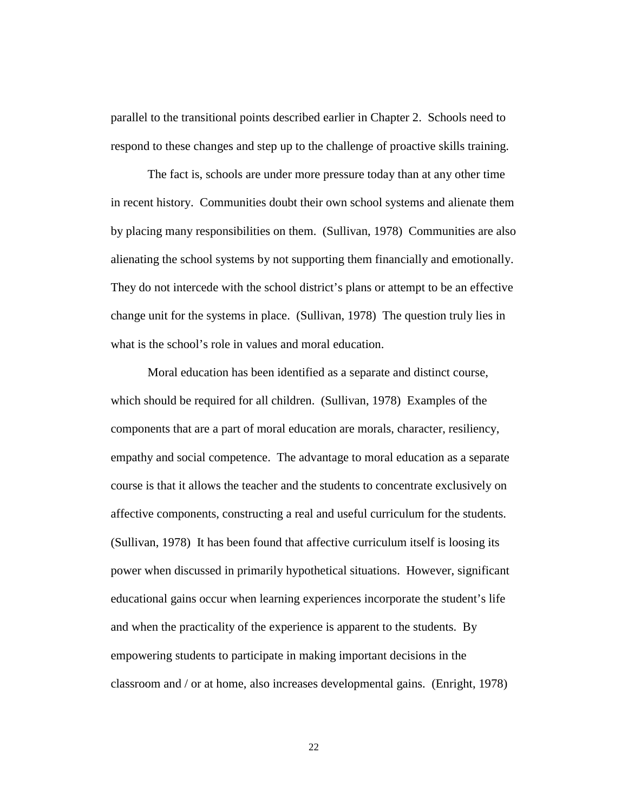parallel to the transitional points described earlier in Chapter 2. Schools need to respond to these changes and step up to the challenge of proactive skills training.

The fact is, schools are under more pressure today than at any other time in recent history. Communities doubt their own school systems and alienate them by placing many responsibilities on them. (Sullivan, 1978) Communities are also alienating the school systems by not supporting them financially and emotionally. They do not intercede with the school district's plans or attempt to be an effective change unit for the systems in place. (Sullivan, 1978) The question truly lies in what is the school's role in values and moral education.

Moral education has been identified as a separate and distinct course, which should be required for all children. (Sullivan, 1978) Examples of the components that are a part of moral education are morals, character, resiliency, empathy and social competence. The advantage to moral education as a separate course is that it allows the teacher and the students to concentrate exclusively on affective components, constructing a real and useful curriculum for the students. (Sullivan, 1978) It has been found that affective curriculum itself is loosing its power when discussed in primarily hypothetical situations. However, significant educational gains occur when learning experiences incorporate the student's life and when the practicality of the experience is apparent to the students. By empowering students to participate in making important decisions in the classroom and / or at home, also increases developmental gains. (Enright, 1978)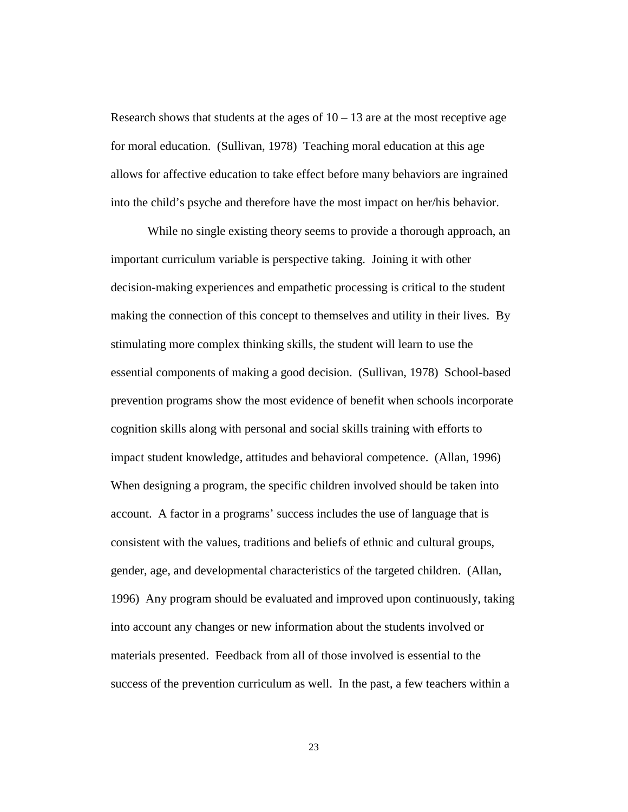Research shows that students at the ages of  $10 - 13$  are at the most receptive age for moral education. (Sullivan, 1978) Teaching moral education at this age allows for affective education to take effect before many behaviors are ingrained into the child's psyche and therefore have the most impact on her/his behavior.

While no single existing theory seems to provide a thorough approach, an important curriculum variable is perspective taking. Joining it with other decision-making experiences and empathetic processing is critical to the student making the connection of this concept to themselves and utility in their lives. By stimulating more complex thinking skills, the student will learn to use the essential components of making a good decision. (Sullivan, 1978) School-based prevention programs show the most evidence of benefit when schools incorporate cognition skills along with personal and social skills training with efforts to impact student knowledge, attitudes and behavioral competence. (Allan, 1996) When designing a program, the specific children involved should be taken into account. A factor in a programs' success includes the use of language that is consistent with the values, traditions and beliefs of ethnic and cultural groups, gender, age, and developmental characteristics of the targeted children. (Allan, 1996) Any program should be evaluated and improved upon continuously, taking into account any changes or new information about the students involved or materials presented. Feedback from all of those involved is essential to the success of the prevention curriculum as well. In the past, a few teachers within a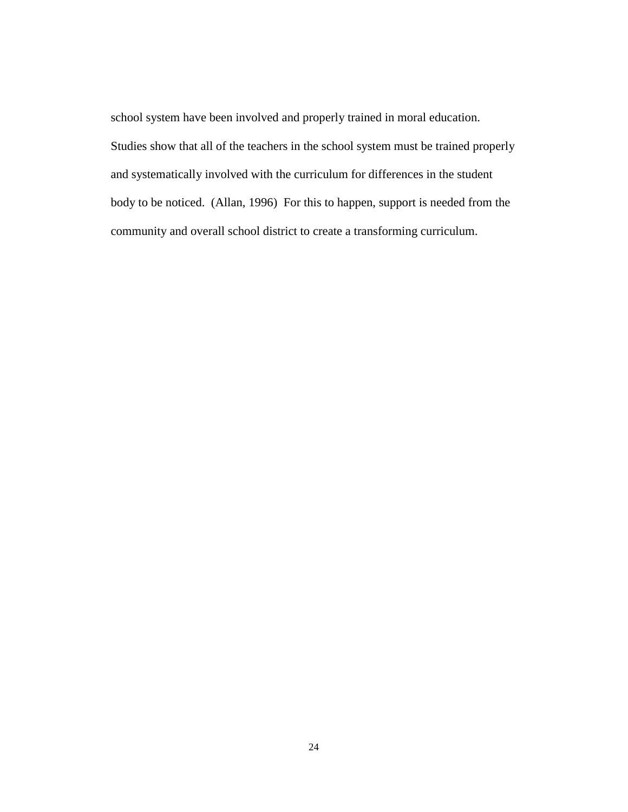school system have been involved and properly trained in moral education. Studies show that all of the teachers in the school system must be trained properly and systematically involved with the curriculum for differences in the student body to be noticed. (Allan, 1996) For this to happen, support is needed from the community and overall school district to create a transforming curriculum.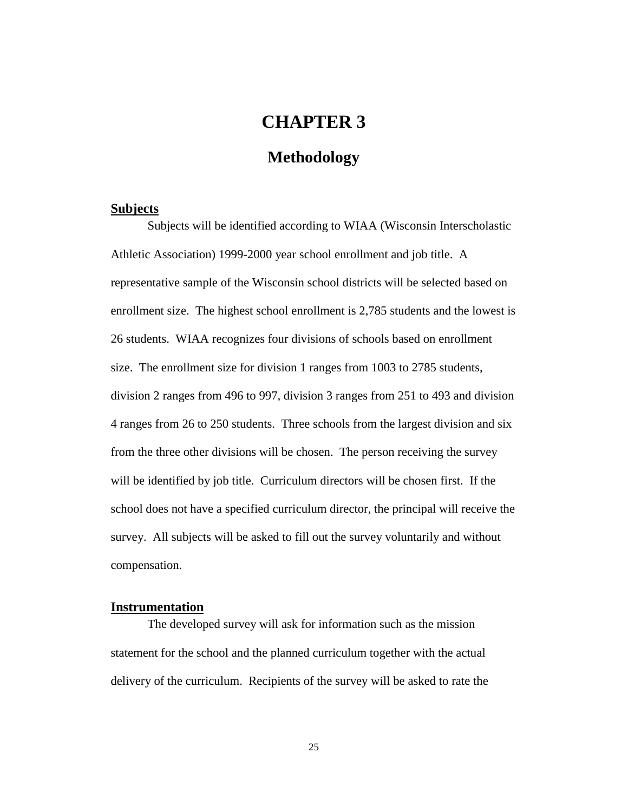# **CHAPTER 3**

### **Methodology**

#### <span id="page-29-0"></span>**Subjects**

Subjects will be identified according to WIAA (Wisconsin Interscholastic Athletic Association) 1999-2000 year school enrollment and job title. A representative sample of the Wisconsin school districts will be selected based on enrollment size. The highest school enrollment is 2,785 students and the lowest is 26 students. WIAA recognizes four divisions of schools based on enrollment size. The enrollment size for division 1 ranges from 1003 to 2785 students, division 2 ranges from 496 to 997, division 3 ranges from 251 to 493 and division 4 ranges from 26 to 250 students. Three schools from the largest division and six from the three other divisions will be chosen. The person receiving the survey will be identified by job title. Curriculum directors will be chosen first. If the school does not have a specified curriculum director, the principal will receive the survey. All subjects will be asked to fill out the survey voluntarily and without compensation.

#### **Instrumentation**

The developed survey will ask for information such as the mission statement for the school and the planned curriculum together with the actual delivery of the curriculum. Recipients of the survey will be asked to rate the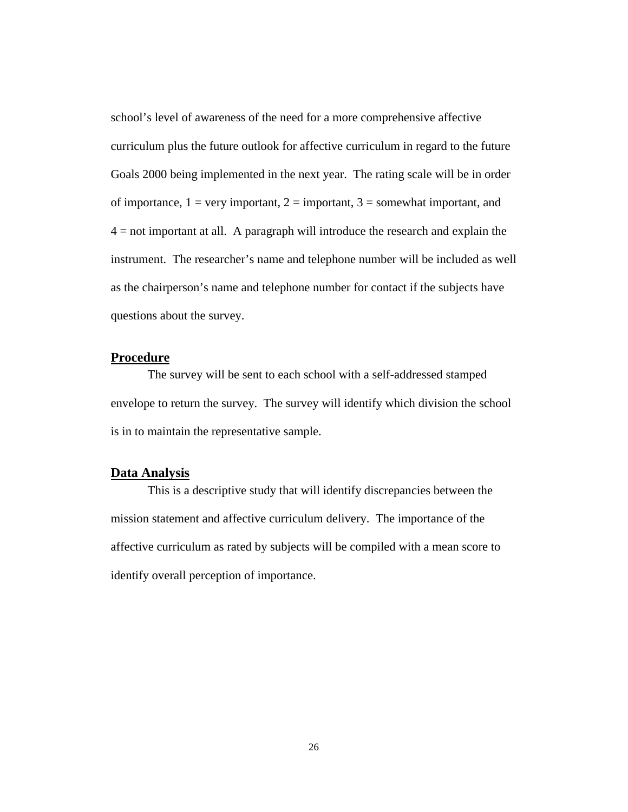<span id="page-30-0"></span>school's level of awareness of the need for a more comprehensive affective curriculum plus the future outlook for affective curriculum in regard to the future Goals 2000 being implemented in the next year. The rating scale will be in order of importance,  $1 = \text{very important}, 2 = \text{important}, 3 = \text{somewhat important},$  and  $4 =$  not important at all. A paragraph will introduce the research and explain the instrument. The researcher's name and telephone number will be included as well as the chairperson's name and telephone number for contact if the subjects have questions about the survey.

### **Procedure**

The survey will be sent to each school with a self-addressed stamped envelope to return the survey. The survey will identify which division the school is in to maintain the representative sample.

### **Data Analysis**

This is a descriptive study that will identify discrepancies between the mission statement and affective curriculum delivery. The importance of the affective curriculum as rated by subjects will be compiled with a mean score to identify overall perception of importance.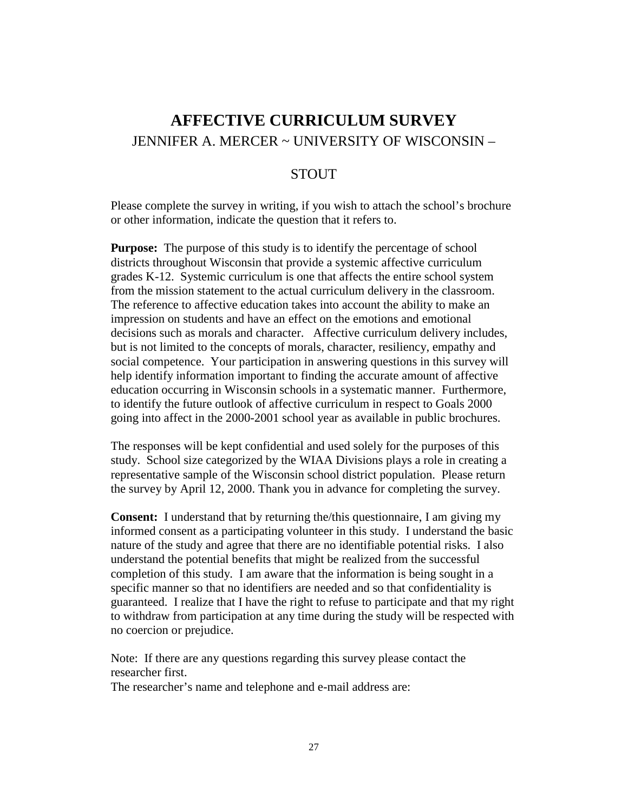# <span id="page-31-0"></span>**AFFECTIVE CURRICULUM SURVEY** JENNIFER A. MERCER ~ UNIVERSITY OF WISCONSIN –

### **STOUT**

Please complete the survey in writing, if you wish to attach the school's brochure or other information, indicate the question that it refers to.

**Purpose:** The purpose of this study is to identify the percentage of school districts throughout Wisconsin that provide a systemic affective curriculum grades K-12. Systemic curriculum is one that affects the entire school system from the mission statement to the actual curriculum delivery in the classroom. The reference to affective education takes into account the ability to make an impression on students and have an effect on the emotions and emotional decisions such as morals and character. Affective curriculum delivery includes, but is not limited to the concepts of morals, character, resiliency, empathy and social competence. Your participation in answering questions in this survey will help identify information important to finding the accurate amount of affective education occurring in Wisconsin schools in a systematic manner. Furthermore, to identify the future outlook of affective curriculum in respect to Goals 2000 going into affect in the 2000-2001 school year as available in public brochures.

The responses will be kept confidential and used solely for the purposes of this study. School size categorized by the WIAA Divisions plays a role in creating a representative sample of the Wisconsin school district population. Please return the survey by April 12, 2000. Thank you in advance for completing the survey.

**Consent:** I understand that by returning the/this questionnaire, I am giving my informed consent as a participating volunteer in this study. I understand the basic nature of the study and agree that there are no identifiable potential risks. I also understand the potential benefits that might be realized from the successful completion of this study. I am aware that the information is being sought in a specific manner so that no identifiers are needed and so that confidentiality is guaranteed. I realize that I have the right to refuse to participate and that my right to withdraw from participation at any time during the study will be respected with no coercion or prejudice.

Note: If there are any questions regarding this survey please contact the researcher first.

The researcher's name and telephone and e-mail address are: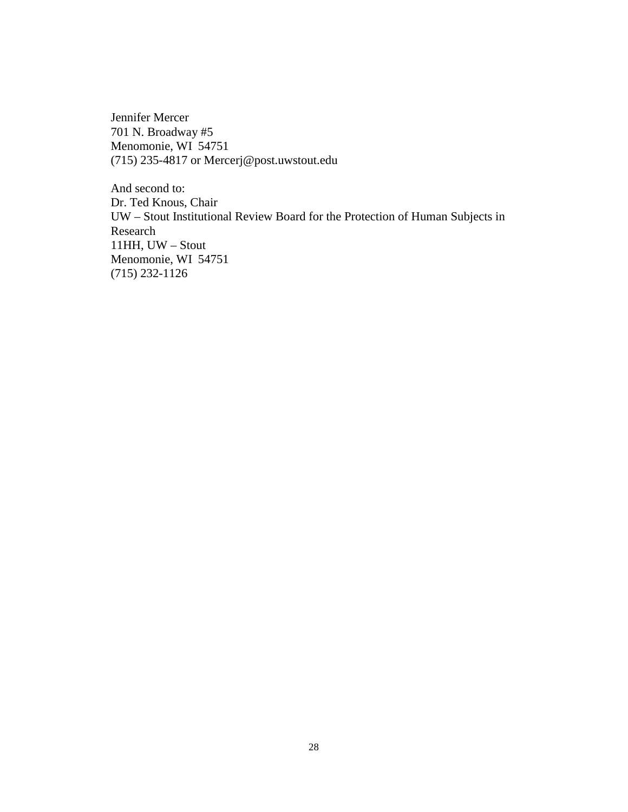Jennifer Mercer 701 N. Broadway #5 Menomonie, WI 54751 (715) 235-4817 or Mercerj@post.uwstout.edu

And second to: Dr. Ted Knous, Chair UW – Stout Institutional Review Board for the Protection of Human Subjects in Research 11HH, UW – Stout Menomonie, WI 54751 (715) 232-1126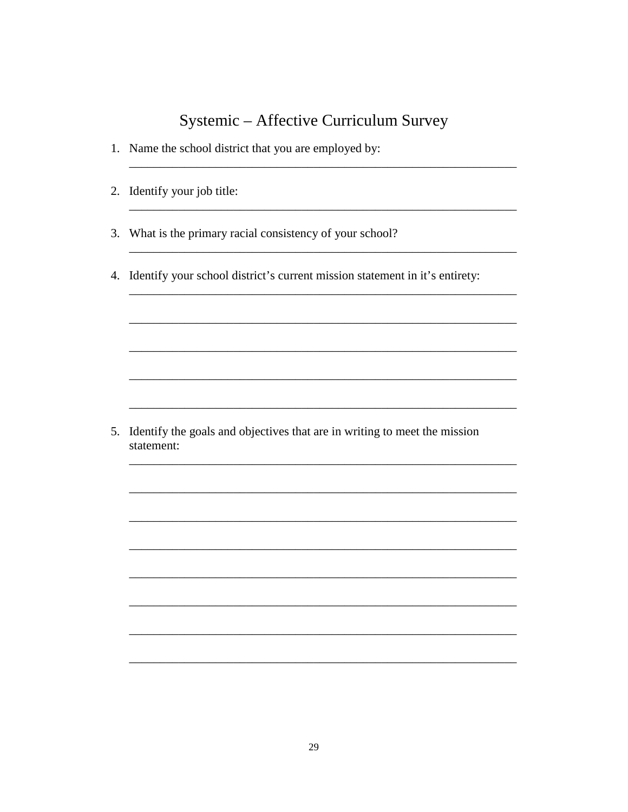# Systemic - Affective Curriculum Survey

- 1. Name the school district that you are employed by:
- 2. Identify your job title:
- 3. What is the primary racial consistency of your school?
- 4. Identify your school district's current mission statement in it's entirety:

5. Identify the goals and objectives that are in writing to meet the mission statement: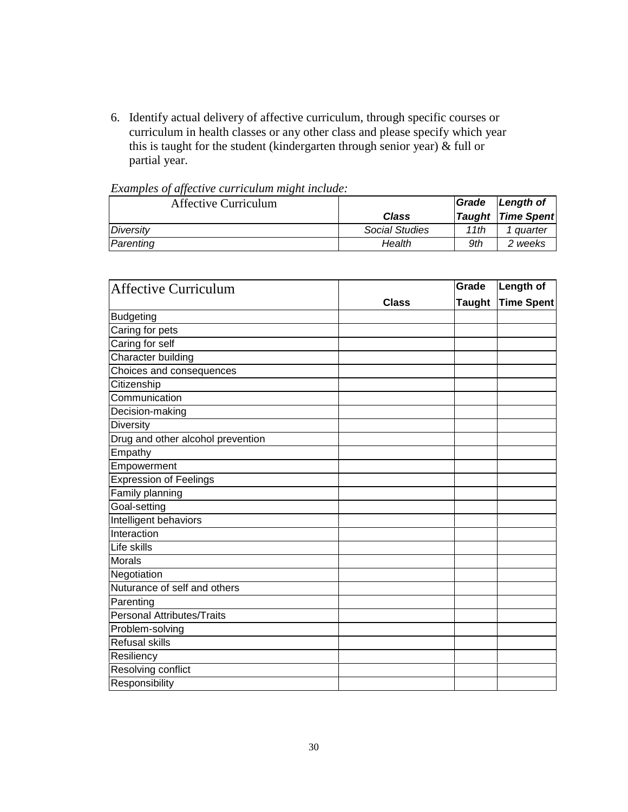6. Identify actual delivery of affective curriculum, through specific courses or curriculum in health classes or any other class and please specify which year this is taught for the student (kindergarten through senior year)  $\&$  full or partial year.

| Examples of affective can neather magnetication.<br><b>Affective Curriculum</b> |                       | Grade | Length of                |
|---------------------------------------------------------------------------------|-----------------------|-------|--------------------------|
|                                                                                 | Class                 |       | <b>Taught Time Spent</b> |
| Diversity                                                                       | <b>Social Studies</b> | 11th  | 1 quarter                |
| Parenting                                                                       | Health                | 9th   | 2 weeks                  |

|  | Examples of affective curriculum might include: |  |
|--|-------------------------------------------------|--|

| <b>Affective Curriculum</b>       |              | Grade         | <b>Length of</b>  |
|-----------------------------------|--------------|---------------|-------------------|
|                                   | <b>Class</b> | <b>Taught</b> | <b>Time Spent</b> |
| <b>Budgeting</b>                  |              |               |                   |
| Caring for pets                   |              |               |                   |
| Caring for self                   |              |               |                   |
| Character building                |              |               |                   |
| Choices and consequences          |              |               |                   |
| Citizenship                       |              |               |                   |
| Communication                     |              |               |                   |
| Decision-making                   |              |               |                   |
| <b>Diversity</b>                  |              |               |                   |
| Drug and other alcohol prevention |              |               |                   |
| Empathy                           |              |               |                   |
| Empowerment                       |              |               |                   |
| <b>Expression of Feelings</b>     |              |               |                   |
| Family planning                   |              |               |                   |
| Goal-setting                      |              |               |                   |
| Intelligent behaviors             |              |               |                   |
| Interaction                       |              |               |                   |
| Life skills                       |              |               |                   |
| <b>Morals</b>                     |              |               |                   |
| Negotiation                       |              |               |                   |
| Nuturance of self and others      |              |               |                   |
| Parenting                         |              |               |                   |
| <b>Personal Attributes/Traits</b> |              |               |                   |
| Problem-solving                   |              |               |                   |
| <b>Refusal skills</b>             |              |               |                   |
| Resiliency                        |              |               |                   |
| Resolving conflict                |              |               |                   |
| Responsibility                    |              |               |                   |
|                                   |              |               |                   |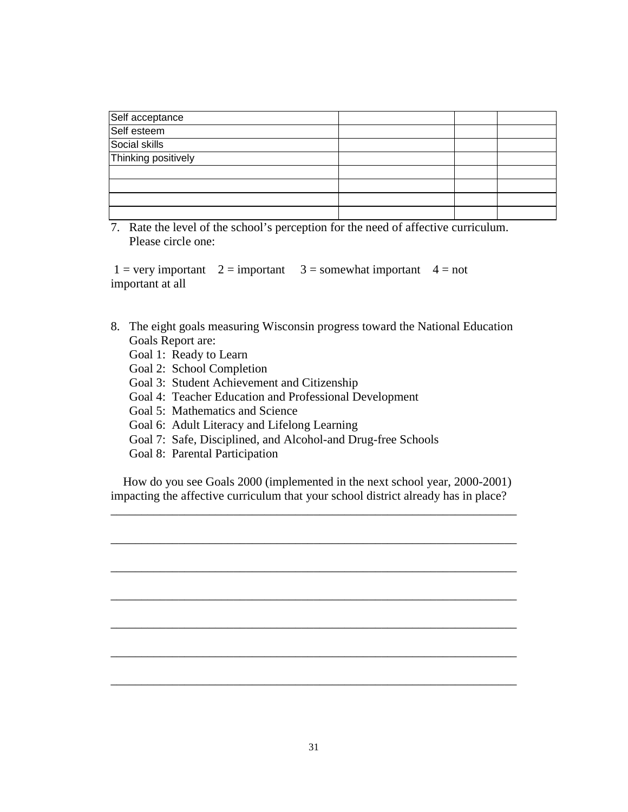| Self acceptance     |  |  |
|---------------------|--|--|
| Self esteem         |  |  |
| Social skills       |  |  |
| Thinking positively |  |  |
|                     |  |  |
|                     |  |  |
|                     |  |  |
|                     |  |  |

7. Rate the level of the school's perception for the need of affective curriculum. Please circle one:

 $1 = \text{very important}$   $2 = \text{important}$   $3 = \text{somewhat important}$   $4 = \text{not}$ important at all

- 8. The eight goals measuring Wisconsin progress toward the National Education Goals Report are:
	- Goal 1: Ready to Learn
	- Goal 2: School Completion
	- Goal 3: Student Achievement and Citizenship
	- Goal 4: Teacher Education and Professional Development
	- Goal 5: Mathematics and Science
	- Goal 6: Adult Literacy and Lifelong Learning
	- Goal 7: Safe, Disciplined, and Alcohol-and Drug-free Schools
	- Goal 8: Parental Participation

 How do you see Goals 2000 (implemented in the next school year, 2000-2001) impacting the affective curriculum that your school district already has in place?

\_\_\_\_\_\_\_\_\_\_\_\_\_\_\_\_\_\_\_\_\_\_\_\_\_\_\_\_\_\_\_\_\_\_\_\_\_\_\_\_\_\_\_\_\_\_\_\_\_\_\_\_\_\_\_\_\_\_\_\_\_\_\_\_\_\_

\_\_\_\_\_\_\_\_\_\_\_\_\_\_\_\_\_\_\_\_\_\_\_\_\_\_\_\_\_\_\_\_\_\_\_\_\_\_\_\_\_\_\_\_\_\_\_\_\_\_\_\_\_\_\_\_\_\_\_\_\_\_\_\_\_\_

\_\_\_\_\_\_\_\_\_\_\_\_\_\_\_\_\_\_\_\_\_\_\_\_\_\_\_\_\_\_\_\_\_\_\_\_\_\_\_\_\_\_\_\_\_\_\_\_\_\_\_\_\_\_\_\_\_\_\_\_\_\_\_\_\_\_

\_\_\_\_\_\_\_\_\_\_\_\_\_\_\_\_\_\_\_\_\_\_\_\_\_\_\_\_\_\_\_\_\_\_\_\_\_\_\_\_\_\_\_\_\_\_\_\_\_\_\_\_\_\_\_\_\_\_\_\_\_\_\_\_\_\_

\_\_\_\_\_\_\_\_\_\_\_\_\_\_\_\_\_\_\_\_\_\_\_\_\_\_\_\_\_\_\_\_\_\_\_\_\_\_\_\_\_\_\_\_\_\_\_\_\_\_\_\_\_\_\_\_\_\_\_\_\_\_\_\_\_\_

\_\_\_\_\_\_\_\_\_\_\_\_\_\_\_\_\_\_\_\_\_\_\_\_\_\_\_\_\_\_\_\_\_\_\_\_\_\_\_\_\_\_\_\_\_\_\_\_\_\_\_\_\_\_\_\_\_\_\_\_\_\_\_\_\_\_

\_\_\_\_\_\_\_\_\_\_\_\_\_\_\_\_\_\_\_\_\_\_\_\_\_\_\_\_\_\_\_\_\_\_\_\_\_\_\_\_\_\_\_\_\_\_\_\_\_\_\_\_\_\_\_\_\_\_\_\_\_\_\_\_\_\_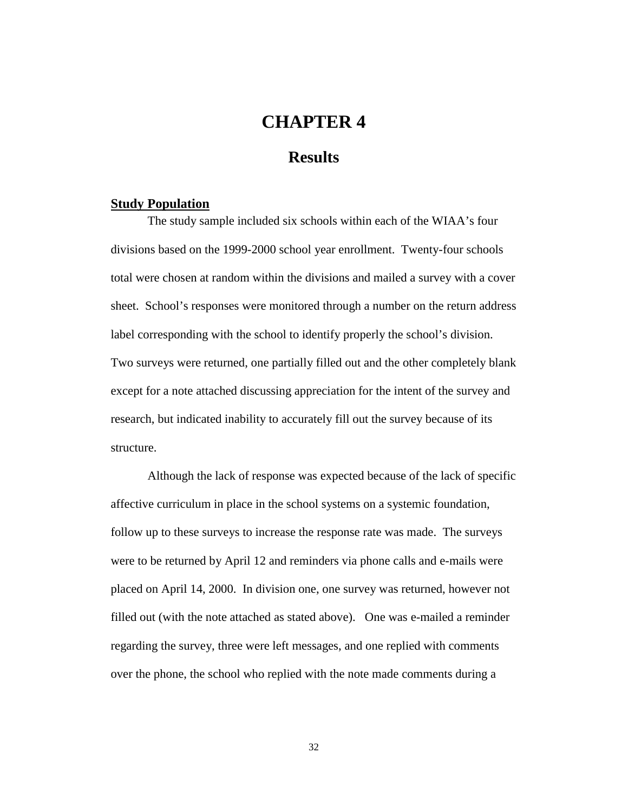# **CHAPTER 4**

### **Results**

#### <span id="page-36-0"></span>**Study Population**

The study sample included six schools within each of the WIAA's four divisions based on the 1999-2000 school year enrollment. Twenty-four schools total were chosen at random within the divisions and mailed a survey with a cover sheet. School's responses were monitored through a number on the return address label corresponding with the school to identify properly the school's division. Two surveys were returned, one partially filled out and the other completely blank except for a note attached discussing appreciation for the intent of the survey and research, but indicated inability to accurately fill out the survey because of its structure.

Although the lack of response was expected because of the lack of specific affective curriculum in place in the school systems on a systemic foundation, follow up to these surveys to increase the response rate was made. The surveys were to be returned by April 12 and reminders via phone calls and e-mails were placed on April 14, 2000. In division one, one survey was returned, however not filled out (with the note attached as stated above). One was e-mailed a reminder regarding the survey, three were left messages, and one replied with comments over the phone, the school who replied with the note made comments during a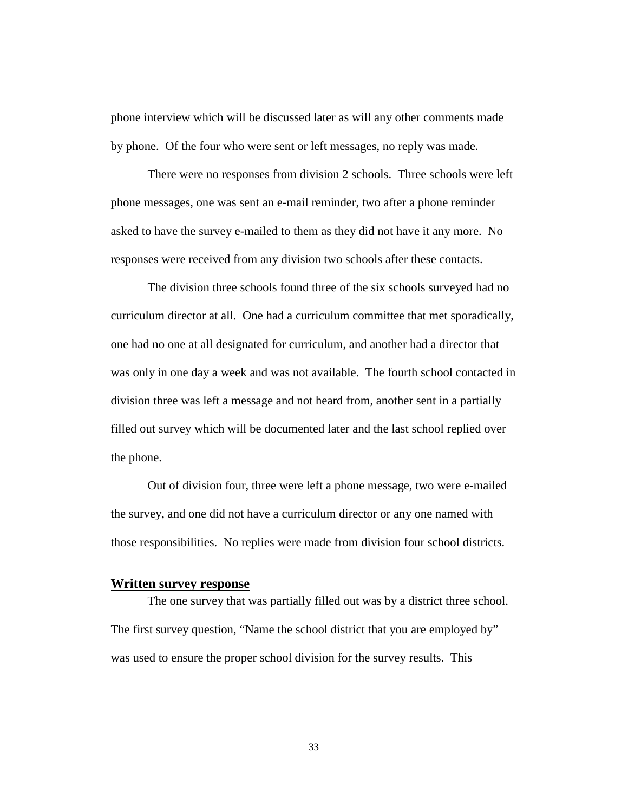<span id="page-37-0"></span>phone interview which will be discussed later as will any other comments made by phone. Of the four who were sent or left messages, no reply was made.

There were no responses from division 2 schools. Three schools were left phone messages, one was sent an e-mail reminder, two after a phone reminder asked to have the survey e-mailed to them as they did not have it any more. No responses were received from any division two schools after these contacts.

The division three schools found three of the six schools surveyed had no curriculum director at all. One had a curriculum committee that met sporadically, one had no one at all designated for curriculum, and another had a director that was only in one day a week and was not available. The fourth school contacted in division three was left a message and not heard from, another sent in a partially filled out survey which will be documented later and the last school replied over the phone.

Out of division four, three were left a phone message, two were e-mailed the survey, and one did not have a curriculum director or any one named with those responsibilities. No replies were made from division four school districts.

#### **Written survey response**

The one survey that was partially filled out was by a district three school. The first survey question, "Name the school district that you are employed by" was used to ensure the proper school division for the survey results. This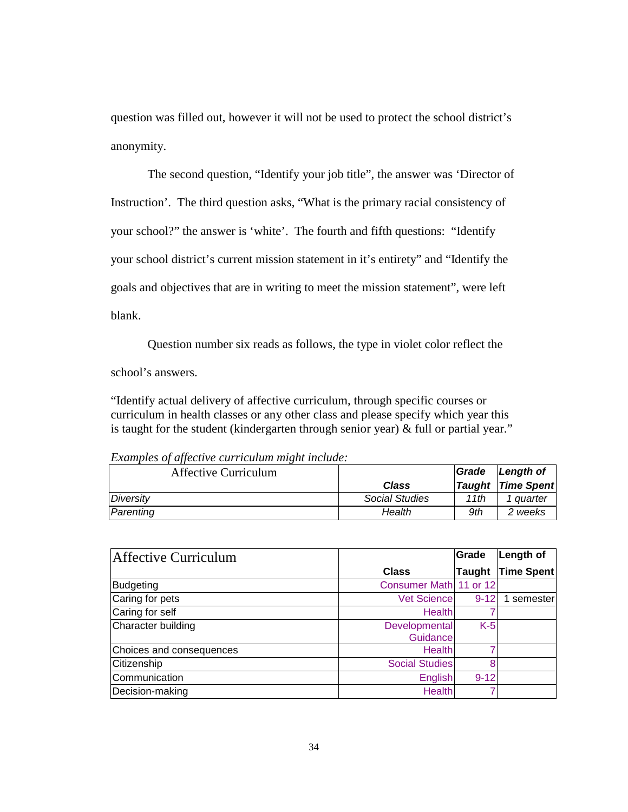question was filled out, however it will not be used to protect the school district's anonymity.

The second question, "Identify your job title", the answer was 'Director of Instruction'. The third question asks, "What is the primary racial consistency of your school?" the answer is 'white'. The fourth and fifth questions: "Identify your school district's current mission statement in it's entirety" and "Identify the goals and objectives that are in writing to meet the mission statement", were left blank.

Question number six reads as follows, the type in violet color reflect the

school's answers.

"Identify actual delivery of affective curriculum, through specific courses or curriculum in health classes or any other class and please specify which year this is taught for the student (kindergarten through senior year) & full or partial year."

| Affective Curriculum |                | Grade | Length of                |
|----------------------|----------------|-------|--------------------------|
|                      | Class          |       | <b>Taught Time Spent</b> |
| Diversity            | Social Studies | 11th  | 1 auarter                |
| Parenting            | Health         | 9th   | 2 weeks                  |

*Examples of affective curriculum might include:*

| Affective Curriculum     |                           | Grade         | Length of         |
|--------------------------|---------------------------|---------------|-------------------|
|                          | <b>Class</b>              | <b>Taught</b> | <b>Time Spent</b> |
| Budgeting                | Consumer Math 11 or 12    |               |                   |
| Caring for pets          | <b>Vet Science</b>        | $9 - 12$      | 1 semester        |
| Caring for self          | Health                    |               |                   |
| Character building       | Developmental<br>Guidance | $K-5$         |                   |
| Choices and consequences | Health                    |               |                   |
| Citizenship              | <b>Social Studies</b>     | 8             |                   |
| Communication            | English                   | $9 - 12$      |                   |
| Decision-making          | <b>Health</b>             |               |                   |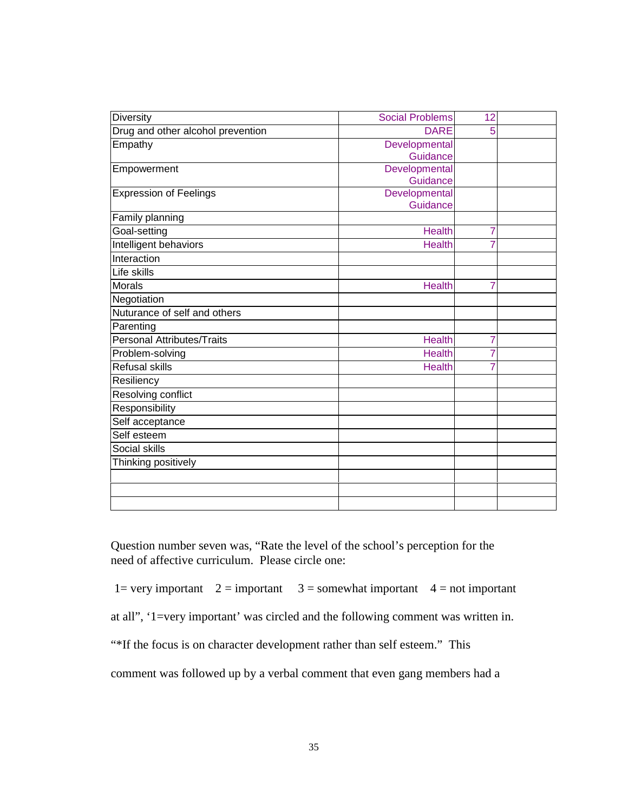| Diversity                         | <b>Social Problems</b>    | 12             |  |
|-----------------------------------|---------------------------|----------------|--|
| Drug and other alcohol prevention | <b>DARE</b>               | 5              |  |
| Empathy                           | Developmental<br>Guidance |                |  |
| Empowerment                       | Developmental<br>Guidance |                |  |
| <b>Expression of Feelings</b>     | Developmental<br>Guidance |                |  |
| Family planning                   |                           |                |  |
| Goal-setting                      | <b>Health</b>             | 7              |  |
| Intelligent behaviors             | <b>Health</b>             | 7              |  |
| Interaction                       |                           |                |  |
| Life skills                       |                           |                |  |
| <b>Morals</b>                     | Health                    | 7              |  |
| Negotiation                       |                           |                |  |
| Nuturance of self and others      |                           |                |  |
| Parenting                         |                           |                |  |
| <b>Personal Attributes/Traits</b> | <b>Health</b>             | $\overline{7}$ |  |
| Problem-solving                   | <b>Health</b>             | 7              |  |
| <b>Refusal skills</b>             | <b>Health</b>             | 7              |  |
| Resiliency                        |                           |                |  |
| Resolving conflict                |                           |                |  |
| Responsibility                    |                           |                |  |
| Self acceptance                   |                           |                |  |
| Self esteem                       |                           |                |  |
| Social skills                     |                           |                |  |
| Thinking positively               |                           |                |  |
|                                   |                           |                |  |
|                                   |                           |                |  |
|                                   |                           |                |  |

Question number seven was, "Rate the level of the school's perception for the need of affective curriculum. Please circle one:

1= very important  $2 =$  important  $3 =$  somewhat important  $4 =$  not important

at all", '1=very important' was circled and the following comment was written in.

"\*If the focus is on character development rather than self esteem." This

comment was followed up by a verbal comment that even gang members had a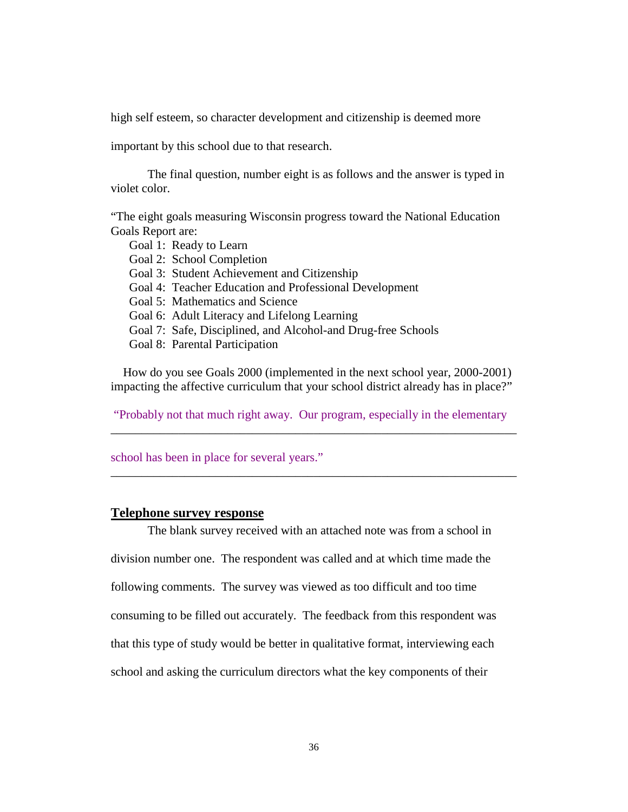<span id="page-40-0"></span>high self esteem, so character development and citizenship is deemed more

important by this school due to that research.

The final question, number eight is as follows and the answer is typed in violet color.

"The eight goals measuring Wisconsin progress toward the National Education Goals Report are:

- Goal 1: Ready to Learn
- Goal 2: School Completion
- Goal 3: Student Achievement and Citizenship
- Goal 4: Teacher Education and Professional Development
- Goal 5: Mathematics and Science
- Goal 6: Adult Literacy and Lifelong Learning
- Goal 7: Safe, Disciplined, and Alcohol-and Drug-free Schools
- Goal 8: Parental Participation

 How do you see Goals 2000 (implemented in the next school year, 2000-2001) impacting the affective curriculum that your school district already has in place?"

 "Probably not that much right away. Our program, especially in the elementary \_\_\_\_\_\_\_\_\_\_\_\_\_\_\_\_\_\_\_\_\_\_\_\_\_\_\_\_\_\_\_\_\_\_\_\_\_\_\_\_\_\_\_\_\_\_\_\_\_\_\_\_\_\_\_\_\_\_\_\_\_\_\_\_\_\_

\_\_\_\_\_\_\_\_\_\_\_\_\_\_\_\_\_\_\_\_\_\_\_\_\_\_\_\_\_\_\_\_\_\_\_\_\_\_\_\_\_\_\_\_\_\_\_\_\_\_\_\_\_\_\_\_\_\_\_\_\_\_\_\_\_\_

school has been in place for several years."

#### **Telephone survey response**

The blank survey received with an attached note was from a school in division number one. The respondent was called and at which time made the following comments. The survey was viewed as too difficult and too time consuming to be filled out accurately. The feedback from this respondent was that this type of study would be better in qualitative format, interviewing each school and asking the curriculum directors what the key components of their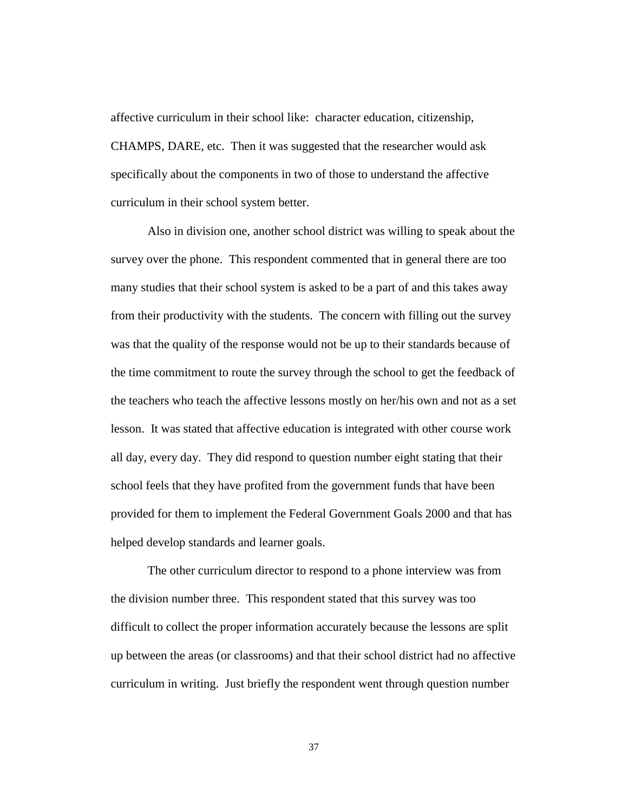affective curriculum in their school like: character education, citizenship, CHAMPS, DARE, etc. Then it was suggested that the researcher would ask specifically about the components in two of those to understand the affective curriculum in their school system better.

Also in division one, another school district was willing to speak about the survey over the phone. This respondent commented that in general there are too many studies that their school system is asked to be a part of and this takes away from their productivity with the students. The concern with filling out the survey was that the quality of the response would not be up to their standards because of the time commitment to route the survey through the school to get the feedback of the teachers who teach the affective lessons mostly on her/his own and not as a set lesson. It was stated that affective education is integrated with other course work all day, every day. They did respond to question number eight stating that their school feels that they have profited from the government funds that have been provided for them to implement the Federal Government Goals 2000 and that has helped develop standards and learner goals.

The other curriculum director to respond to a phone interview was from the division number three. This respondent stated that this survey was too difficult to collect the proper information accurately because the lessons are split up between the areas (or classrooms) and that their school district had no affective curriculum in writing. Just briefly the respondent went through question number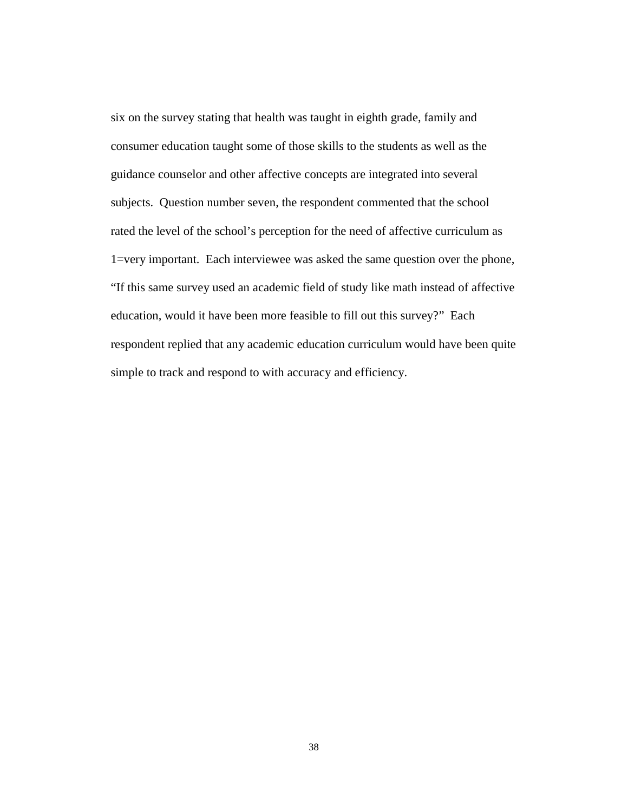six on the survey stating that health was taught in eighth grade, family and consumer education taught some of those skills to the students as well as the guidance counselor and other affective concepts are integrated into several subjects. Question number seven, the respondent commented that the school rated the level of the school's perception for the need of affective curriculum as 1=very important. Each interviewee was asked the same question over the phone, "If this same survey used an academic field of study like math instead of affective education, would it have been more feasible to fill out this survey?" Each respondent replied that any academic education curriculum would have been quite simple to track and respond to with accuracy and efficiency.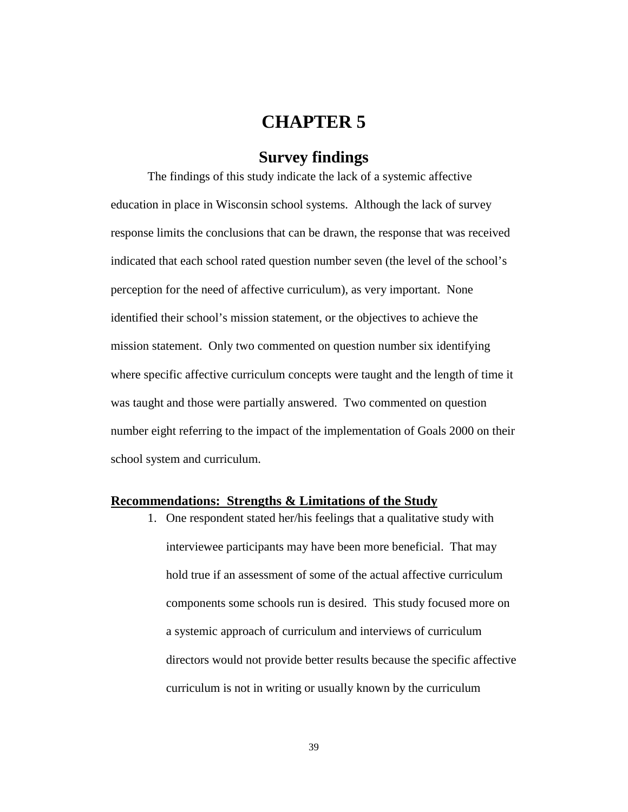# **CHAPTER 5**

## **Survey findings**

<span id="page-43-0"></span>The findings of this study indicate the lack of a systemic affective education in place in Wisconsin school systems. Although the lack of survey response limits the conclusions that can be drawn, the response that was received indicated that each school rated question number seven (the level of the school's perception for the need of affective curriculum), as very important. None identified their school's mission statement, or the objectives to achieve the mission statement. Only two commented on question number six identifying where specific affective curriculum concepts were taught and the length of time it was taught and those were partially answered. Two commented on question number eight referring to the impact of the implementation of Goals 2000 on their school system and curriculum.

#### **Recommendations: Strengths & Limitations of the Study**

1. One respondent stated her/his feelings that a qualitative study with interviewee participants may have been more beneficial. That may hold true if an assessment of some of the actual affective curriculum components some schools run is desired. This study focused more on a systemic approach of curriculum and interviews of curriculum directors would not provide better results because the specific affective curriculum is not in writing or usually known by the curriculum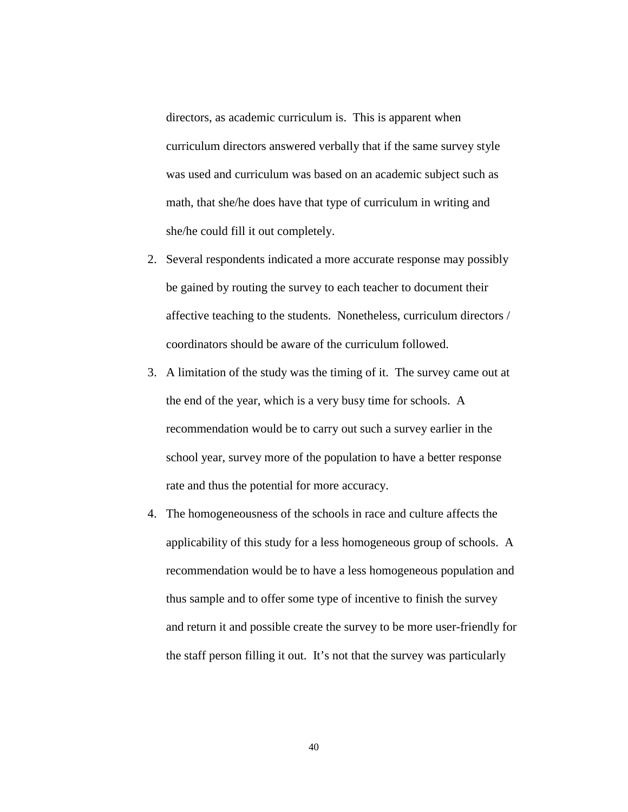directors, as academic curriculum is. This is apparent when curriculum directors answered verbally that if the same survey style was used and curriculum was based on an academic subject such as math, that she/he does have that type of curriculum in writing and she/he could fill it out completely.

- 2. Several respondents indicated a more accurate response may possibly be gained by routing the survey to each teacher to document their affective teaching to the students. Nonetheless, curriculum directors / coordinators should be aware of the curriculum followed.
- 3. A limitation of the study was the timing of it. The survey came out at the end of the year, which is a very busy time for schools. A recommendation would be to carry out such a survey earlier in the school year, survey more of the population to have a better response rate and thus the potential for more accuracy.
- 4. The homogeneousness of the schools in race and culture affects the applicability of this study for a less homogeneous group of schools. A recommendation would be to have a less homogeneous population and thus sample and to offer some type of incentive to finish the survey and return it and possible create the survey to be more user-friendly for the staff person filling it out. It's not that the survey was particularly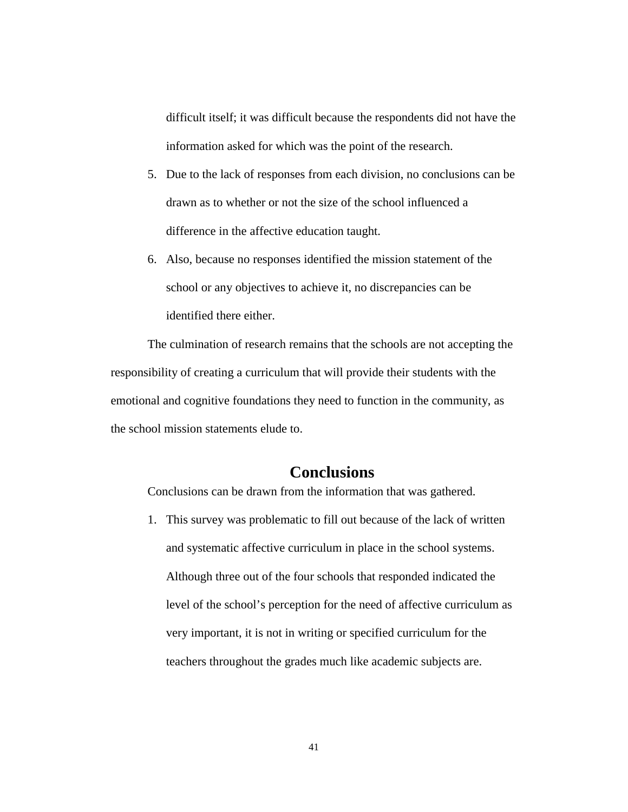<span id="page-45-0"></span>difficult itself; it was difficult because the respondents did not have the information asked for which was the point of the research.

- 5. Due to the lack of responses from each division, no conclusions can be drawn as to whether or not the size of the school influenced a difference in the affective education taught.
- 6. Also, because no responses identified the mission statement of the school or any objectives to achieve it, no discrepancies can be identified there either.

The culmination of research remains that the schools are not accepting the responsibility of creating a curriculum that will provide their students with the emotional and cognitive foundations they need to function in the community, as the school mission statements elude to.

### **Conclusions**

Conclusions can be drawn from the information that was gathered.

1. This survey was problematic to fill out because of the lack of written and systematic affective curriculum in place in the school systems. Although three out of the four schools that responded indicated the level of the school's perception for the need of affective curriculum as very important, it is not in writing or specified curriculum for the teachers throughout the grades much like academic subjects are.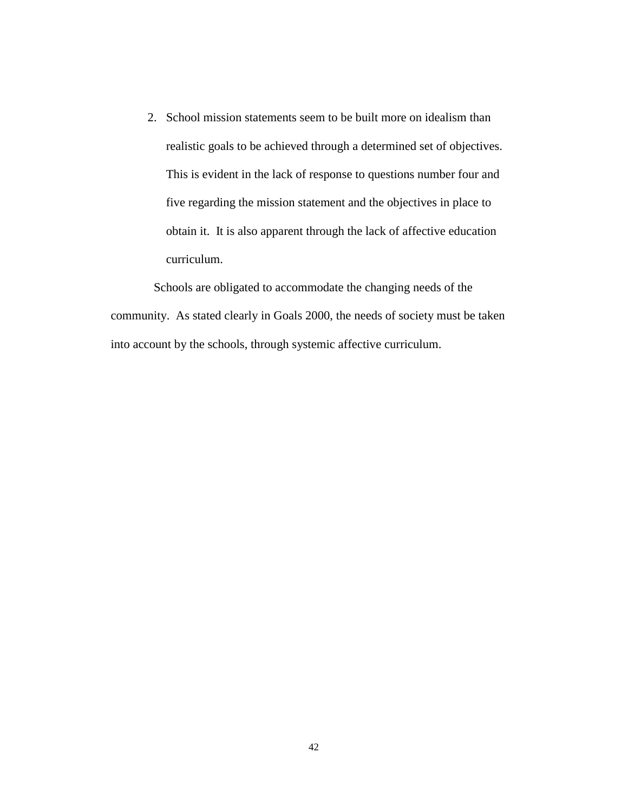2. School mission statements seem to be built more on idealism than realistic goals to be achieved through a determined set of objectives. This is evident in the lack of response to questions number four and five regarding the mission statement and the objectives in place to obtain it. It is also apparent through the lack of affective education curriculum.

 Schools are obligated to accommodate the changing needs of the community. As stated clearly in Goals 2000, the needs of society must be taken into account by the schools, through systemic affective curriculum.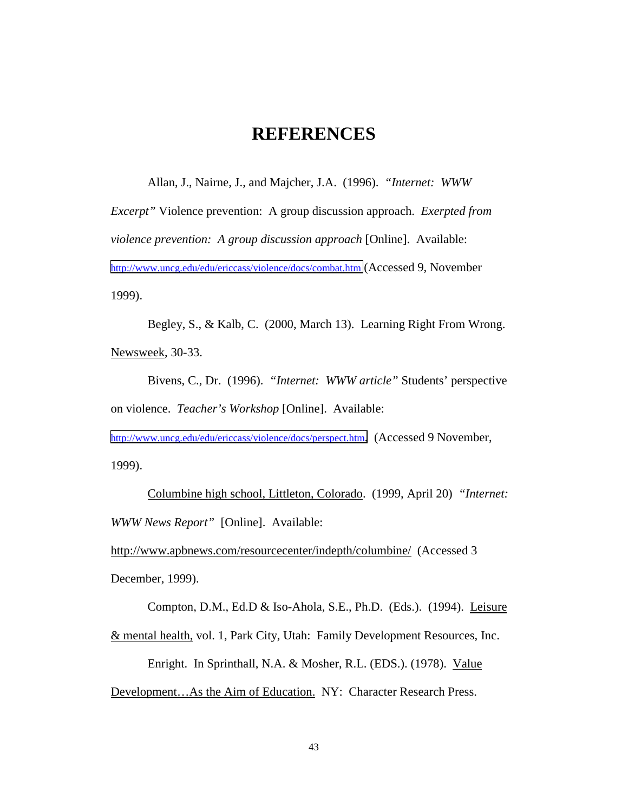# **REFERENCES**

<span id="page-47-0"></span>Allan, J., Nairne, J., and Majcher, J.A. (1996). *"Internet: WWW*

*Excerpt"* Violence prevention: A group discussion approach. *Exerpted from violence prevention: A group discussion approach* [Online]. Available: <http://www.uncg.edu/edu/ericcass/violence/docs/combat.htm>(Accessed 9, November 1999).

Begley, S., & Kalb, C. (2000, March 13). Learning Right From Wrong. Newsweek, 30-33.

Bivens, C., Dr. (1996). *"Internet: WWW article"* Students' perspective on violence. *Teacher's Workshop* [Online]. Available:

[http://www.uncg.edu/edu/ericcass/violence/docs/perspect.htm.](http://www.uncg.edu/edu/ericcass/violence/docs/perspect.htm) (Accessed 9 November, 1999).

Columbine high school, Littleton, Colorado. (1999, April 20) *"Internet: WWW News Report"* [Online]. Available:

http://www.apbnews.com/resourcecenter/indepth/columbine/ (Accessed 3 December, 1999).

Compton, D.M., Ed.D & Iso-Ahola, S.E., Ph.D. (Eds.). (1994). Leisure

& mental health, vol. 1, Park City, Utah: Family Development Resources, Inc.

Enright. In Sprinthall, N.A. & Mosher, R.L. (EDS.). (1978). Value

Development…As the Aim of Education. NY: Character Research Press.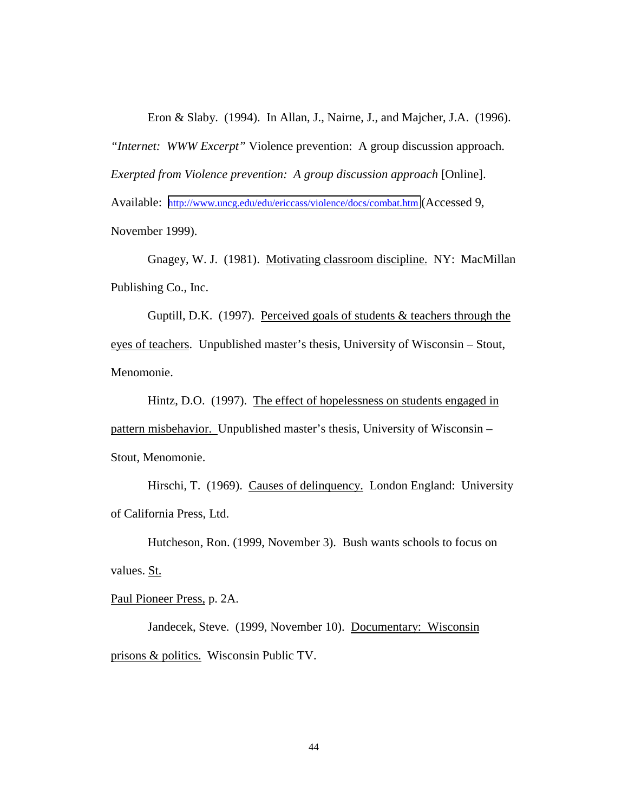Eron & Slaby. (1994). In Allan, J., Nairne, J., and Majcher, J.A. (1996).

*"Internet: WWW Excerpt"* Violence prevention: A group discussion approach.

*Exerpted from Violence prevention: A group discussion approach* [Online].

Available: <http://www.uncg.edu/edu/ericcass/violence/docs/combat.htm>(Accessed 9,

November 1999).

Gnagey, W. J. (1981). Motivating classroom discipline. NY: MacMillan Publishing Co., Inc.

Guptill, D.K. (1997). Perceived goals of students & teachers through the eyes of teachers. Unpublished master's thesis, University of Wisconsin – Stout, Menomonie.

Hintz, D.O. (1997). The effect of hopelessness on students engaged in pattern misbehavior. Unpublished master's thesis, University of Wisconsin – Stout, Menomonie.

Hirschi, T. (1969). Causes of delinquency. London England: University of California Press, Ltd.

Hutcheson, Ron. (1999, November 3). Bush wants schools to focus on values. St.

Paul Pioneer Press, p. 2A.

Jandecek, Steve. (1999, November 10). Documentary: Wisconsin prisons & politics. Wisconsin Public TV.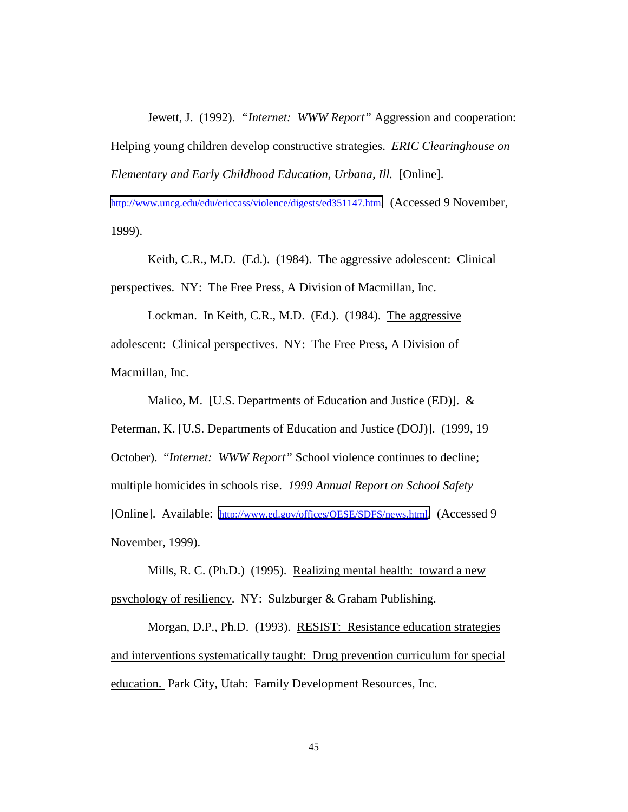Jewett, J. (1992). *"Internet: WWW Report"* Aggression and cooperation: Helping young children develop constructive strategies. *ERIC Clearinghouse on Elementary and Early Childhood Education, Urbana, Ill.* [Online].

[http://www.uncg.edu/edu/ericcass/violence/digests/ed351147.htm.](http://www.uncg.edu/edu/ericcass/violence/digests/ed351147.htm) (Accessed 9 November, 1999).

Keith, C.R., M.D. (Ed.). (1984). The aggressive adolescent: Clinical perspectives. NY: The Free Press, A Division of Macmillan, Inc.

Lockman. In Keith, C.R., M.D. (Ed.). (1984). The aggressive adolescent: Clinical perspectives. NY: The Free Press, A Division of Macmillan, Inc.

Malico, M. [U.S. Departments of Education and Justice (ED)]. & Peterman, K. [U.S. Departments of Education and Justice (DOJ)]. (1999, 19 October). "*Internet: WWW Report"* School violence continues to decline; multiple homicides in schools rise. *1999 Annual Report on School Safety* [Online]. Available: [http://www.ed.gov/offices/OESE/SDFS/news.html.](http://www.ed.gov/offices/OESE/SDFS/news.html) (Accessed 9 November, 1999).

Mills, R. C. (Ph.D.) (1995). Realizing mental health: toward a new psychology of resiliency. NY: Sulzburger & Graham Publishing.

Morgan, D.P., Ph.D. (1993). RESIST: Resistance education strategies and interventions systematically taught: Drug prevention curriculum for special education. Park City, Utah: Family Development Resources, Inc.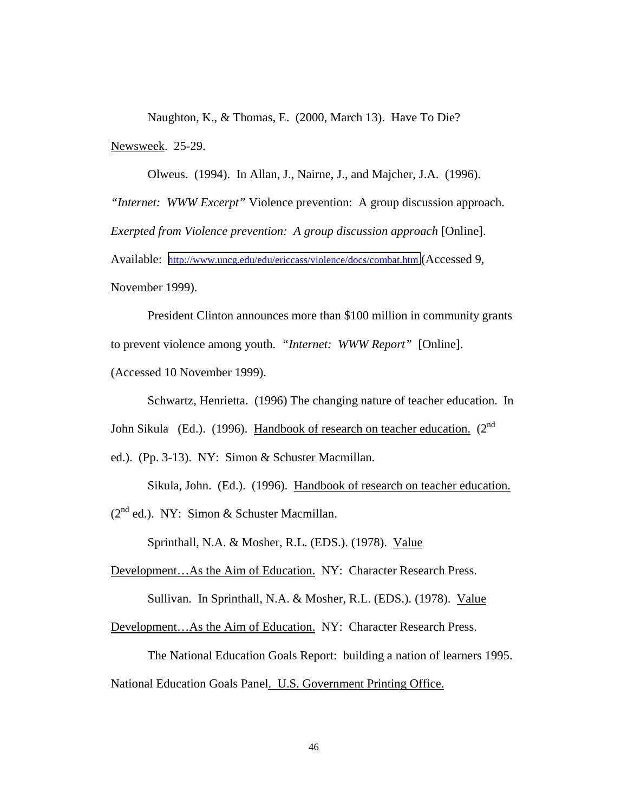Naughton, K., & Thomas, E. (2000, March 13). Have To Die? Newsweek. 25-29.

Olweus. (1994). In Allan, J., Nairne, J., and Majcher, J.A. (1996). *"Internet: WWW Excerpt"* Violence prevention: A group discussion approach. *Exerpted from Violence prevention: A group discussion approach* [Online]. Available: <http://www.uncg.edu/edu/ericcass/violence/docs/combat.htm>(Accessed 9, November 1999).

President Clinton announces more than \$100 million in community grants to prevent violence among youth. *"Internet: WWW Report"* [Online]. (Accessed 10 November 1999).

Schwartz, Henrietta. (1996) The changing nature of teacher education.In John Sikula (Ed.). (1996). Handbook of research on teacher education. ( $2<sup>nd</sup>$ 

ed.). (Pp. 3-13). NY: Simon & Schuster Macmillan.

Sikula, John. (Ed.). (1996). Handbook of research on teacher education.

 $(2^{nd}$  ed.). NY: Simon & Schuster Macmillan.

Sprinthall, N.A. & Mosher, R.L. (EDS.). (1978). Value

Development…As the Aim of Education. NY: Character Research Press.

Sullivan. In Sprinthall, N.A. & Mosher, R.L. (EDS.). (1978). Value

Development…As the Aim of Education. NY: Character Research Press.

The National Education Goals Report: building a nation of learners 1995.

National Education Goals Panel. U.S. Government Printing Office.